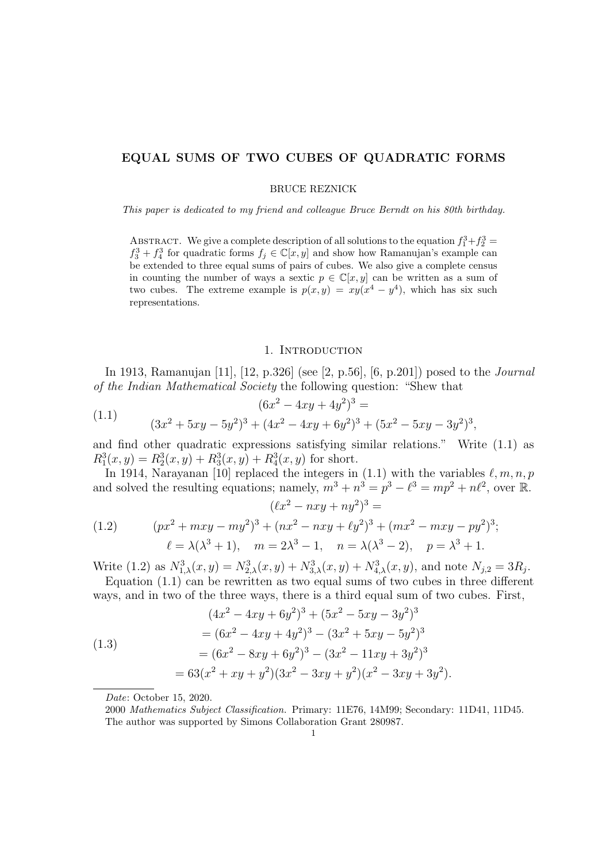## EQUAL SUMS OF TWO CUBES OF QUADRATIC FORMS

BRUCE REZNICK

This paper is dedicated to my friend and colleague Bruce Berndt on his 80th birthday.

ABSTRACT. We give a complete description of all solutions to the equation  $f_1^3 + f_2^3 =$  $f_3^3 + f_4^3$  for quadratic forms  $f_j \in \mathbb{C}[x, y]$  and show how Ramanujan's example can be extended to three equal sums of pairs of cubes. We also give a complete census in counting the number of ways a sextic  $p \in \mathbb{C}[x, y]$  can be written as a sum of two cubes. The extreme example is  $p(x, y) = xy(x^4 - y^4)$ , which has six such representations.

#### 1. INTRODUCTION

In 1913, Ramanujan [11], [12, p.326] (see [2, p.56], [6, p.201]) posed to the Journal of the Indian Mathematical Society the following question: "Shew that

(1.1) 
$$
(6x^2 - 4xy + 4y^2)^3 =
$$

$$
(3x^2 + 5xy - 5y^2)^3 + (4x^2 - 4xy + 6y^2)^3 + (5x^2 - 5xy - 3y^2)^3,
$$

and find other quadratic expressions satisfying similar relations." Write (1.1) as  $R_1^3(x, y) = R_2^3(x, y) + R_3^3(x, y) + R_4^3(x, y)$  for short.

In 1914, Narayanan [10] replaced the integers in (1.1) with the variables  $\ell, m, n, p$ and solved the resulting equations; namely,  $m^3 + n^3 = p^3 - \ell^3 = mp^2 + n\ell^2$ , over R.  $(\ell x^2 - nxy + ny^2)^3 =$ 

(1.2) 
$$
(px^{2} + mxy - my^{2})^{3} + (nx^{2} - nxy + \ell y^{2})^{3} + (mx^{2} - mxy - py^{2})^{3};
$$

$$
\ell = \lambda(\lambda^{3} + 1), \quad m = 2\lambda^{3} - 1, \quad n = \lambda(\lambda^{3} - 2), \quad p = \lambda^{3} + 1.
$$

Write (1.2) as  $N_{1,\lambda}^3(x,y) = N_{2,\lambda}^3(x,y) + N_{3,\lambda}^3(x,y) + N_{4,\lambda}^3(x,y)$ , and note  $N_{j,2} = 3R_j$ . Equation (1.1) can be rewritten as two equal sums of two cubes in three different

ways, and in two of the three ways, there is a third equal sum of two cubes. First,

(1.3)  
\n
$$
(4x^2 - 4xy + 6y^2)^3 + (5x^2 - 5xy - 3y^2)^3
$$
\n
$$
= (6x^2 - 4xy + 4y^2)^3 - (3x^2 + 5xy - 5y^2)^3
$$
\n
$$
= (6x^2 - 8xy + 6y^2)^3 - (3x^2 - 11xy + 3y^2)^3
$$
\n
$$
= 63(x^2 + xy + y^2)(3x^2 - 3xy + y^2)(x^2 - 3xy + 3y^2).
$$

Date: October 15, 2020.

<sup>2000</sup> Mathematics Subject Classification. Primary: 11E76, 14M99; Secondary: 11D41, 11D45. The author was supported by Simons Collaboration Grant 280987.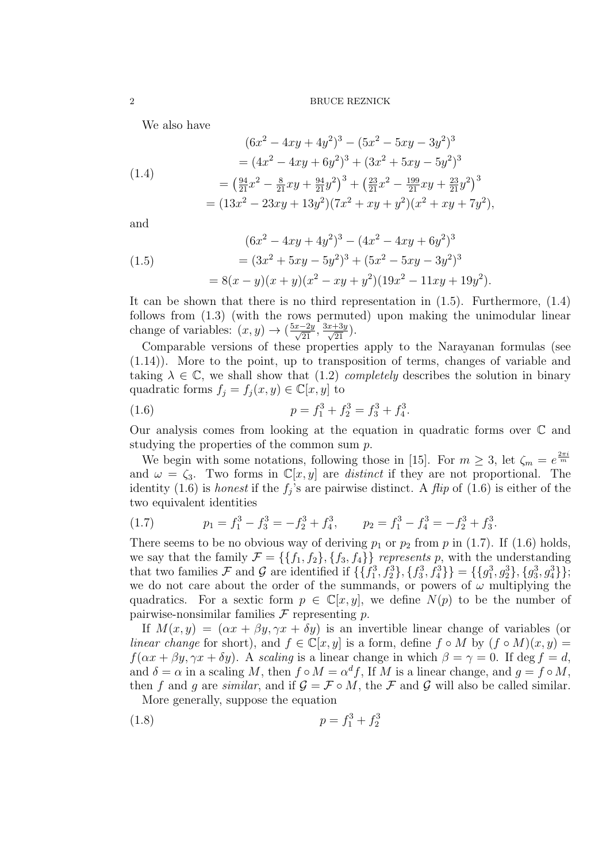We also have

(1.4)  
\n
$$
(6x^2 - 4xy + 4y^2)^3 - (5x^2 - 5xy - 3y^2)^3
$$
\n
$$
= (4x^2 - 4xy + 6y^2)^3 + (3x^2 + 5xy - 5y^2)^3
$$
\n
$$
= \left(\frac{94}{21}x^2 - \frac{8}{21}xy + \frac{94}{21}y^2\right)^3 + \left(\frac{23}{21}x^2 - \frac{199}{21}xy + \frac{23}{21}y^2\right)^3
$$
\n
$$
= (13x^2 - 23xy + 13y^2)(7x^2 + xy + y^2)(x^2 + xy + 7y^2),
$$

 $(a-2)$ 

and

(1.5) 
$$
(6x^2 - 4xy + 4y^2)^3 - (4x^2 - 4xy + 6y^2)^3
$$

$$
= (3x^2 + 5xy - 5y^2)^3 + (5x^2 - 5xy - 3y^2)^3
$$

$$
= 8(x - y)(x + y)(x^2 - xy + y^2)(19x^2 - 11xy + 19y^2).
$$

It can be shown that there is no third representation in (1.5). Furthermore, (1.4) follows from (1.3) (with the rows permuted) upon making the unimodular linear change of variables:  $(x, y) \rightarrow (\frac{5x-2y}{\sqrt{21}}, \frac{3x+3y}{\sqrt{21}})$ .

Comparable versions of these properties apply to the Narayanan formulas (see (1.14)). More to the point, up to transposition of terms, changes of variable and taking  $\lambda \in \mathbb{C}$ , we shall show that (1.2) *completely* describes the solution in binary quadratic forms  $f_j = f_j(x, y) \in \mathbb{C}[x, y]$  to

(1.6) 
$$
p = f_1^3 + f_2^3 = f_3^3 + f_4^3.
$$

Our analysis comes from looking at the equation in quadratic forms over  $\mathbb C$  and studying the properties of the common sum p.

We begin with some notations, following those in [15]. For  $m \geq 3$ , let  $\zeta_m = e^{\frac{2\pi i}{m}}$ and  $\omega = \zeta_3$ . Two forms in  $\mathbb{C}[x, y]$  are distinct if they are not proportional. The identity (1.6) is *honest* if the  $f_j$ 's are pairwise distinct. A *flip* of (1.6) is either of the two equivalent identities

(1.7) 
$$
p_1 = f_1^3 - f_3^3 = -f_2^3 + f_4^3, \qquad p_2 = f_1^3 - f_4^3 = -f_2^3 + f_3^3.
$$

There seems to be no obvious way of deriving  $p_1$  or  $p_2$  from p in (1.7). If (1.6) holds, we say that the family  $\mathcal{F} = \{\{f_1, f_2\}, \{f_3, f_4\}\}\$  represents p, with the understanding that two families F and G are identified if  $\{\{f_1^3, f_2^3\}, \{f_3^3, f_4^3\}\} = \{\{g_1^3, g_2^3\}, \{g_3^3, g_4^3\}\};$ we do not care about the order of the summands, or powers of  $\omega$  multiplying the quadratics. For a sextic form  $p \in \mathbb{C}[x, y]$ , we define  $N(p)$  to be the number of pairwise-nonsimilar families  $\mathcal F$  representing  $p$ .

If  $M(x, y) = (\alpha x + \beta y, \gamma x + \delta y)$  is an invertible linear change of variables (or linear change for short), and  $f \in \mathbb{C}[x, y]$  is a form, define  $f \circ M$  by  $(f \circ M)(x, y) =$  $f(\alpha x + \beta y, \gamma x + \delta y)$ . A scaling is a linear change in which  $\beta = \gamma = 0$ . If deg  $f = d$ , and  $\delta = \alpha$  in a scaling M, then  $f \circ M = \alpha^d f$ , If M is a linear change, and  $g = f \circ M$ , then f and g are similar, and if  $\mathcal{G} = \mathcal{F} \circ M$ , the F and G will also be called similar.

More generally, suppose the equation

$$
(1.8) \t\t\t p = f_1^3 + f_2^3
$$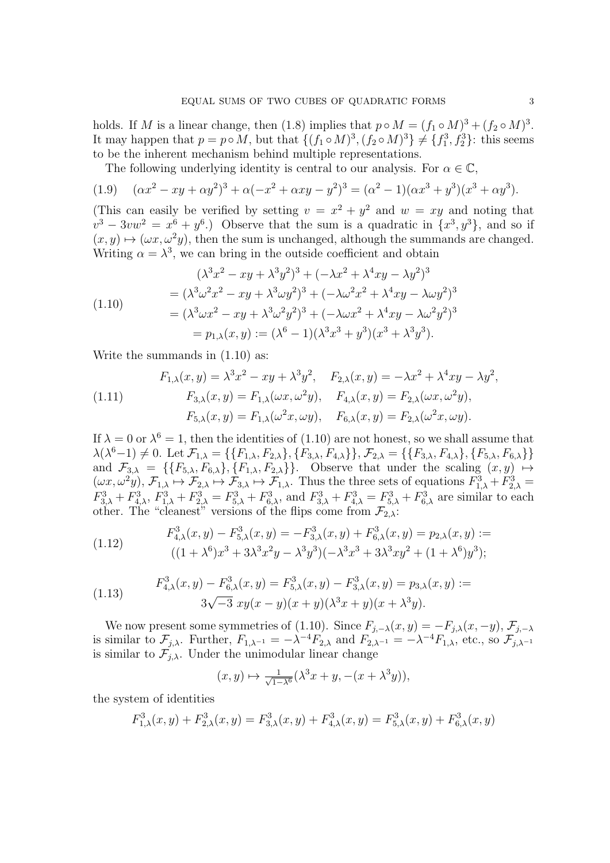holds. If M is a linear change, then (1.8) implies that  $p \circ M = (f_1 \circ M)^3 + (f_2 \circ M)^3$ . It may happen that  $p = p \circ M$ , but that  $\{(f_1 \circ M)^3, (f_2 \circ M)^3\} \neq \{f_1^3, f_2^3\}$ : this seems to be the inherent mechanism behind multiple representations.

The following underlying identity is central to our analysis. For  $\alpha \in \mathbb{C}$ ,

(1.9) 
$$
(\alpha x^2 - xy + \alpha y^2)^3 + \alpha (-x^2 + \alpha xy - y^2)^3 = (\alpha^2 - 1)(\alpha x^3 + y^3)(x^3 + \alpha y^3).
$$

(This can easily be verified by setting  $v = x^2 + y^2$  and  $w = xy$  and noting that  $v^3 - 3vw^2 = x^6 + y^6$ .) Observe that the sum is a quadratic in  $\{x^3, y^3\}$ , and so if  $(x, y) \mapsto (\omega x, \omega^2 y)$ , then the sum is unchanged, although the summands are changed. Writing  $\alpha = \lambda^3$ , we can bring in the outside coefficient and obtain

$$
(\lambda^3 x^2 - xy + \lambda^3 y^2)^3 + (-\lambda x^2 + \lambda^4 xy - \lambda y^2)^3
$$
  
=  $(\lambda^3 \omega^2 x^2 - xy + \lambda^3 \omega y^2)^3 + (-\lambda \omega^2 x^2 + \lambda^4 xy - \lambda \omega y^2)^3$   
=  $(\lambda^3 \omega x^2 - xy + \lambda^3 \omega^2 y^2)^3 + (-\lambda \omega x^2 + \lambda^4 xy - \lambda \omega^2 y^2)^3$   
=  $p_{1,\lambda}(x, y) := (\lambda^6 - 1)(\lambda^3 x^3 + y^3)(x^3 + \lambda^3 y^3).$ 

Write the summands in (1.10) as:

(1.11) 
$$
F_{1,\lambda}(x,y) = \lambda^3 x^2 - xy + \lambda^3 y^2, \quad F_{2,\lambda}(x,y) = -\lambda x^2 + \lambda^4 xy - \lambda y^2,
$$

$$
F_{3,\lambda}(x,y) = F_{1,\lambda}(\omega x, \omega^2 y), \quad F_{4,\lambda}(x,y) = F_{2,\lambda}(\omega x, \omega^2 y),
$$

$$
F_{5,\lambda}(x,y) = F_{1,\lambda}(\omega^2 x, \omega y), \quad F_{6,\lambda}(x,y) = F_{2,\lambda}(\omega^2 x, \omega y).
$$

If  $\lambda = 0$  or  $\lambda^6 = 1$ , then the identities of (1.10) are not honest, so we shall assume that  $\lambda(\lambda^6-1) \neq 0.$  Let  $\mathcal{F}_{1,\lambda} = \{\{F_{1,\lambda}, F_{2,\lambda}\}, \{F_{3,\lambda}, F_{4,\lambda}\}\}, \mathcal{F}_{2,\lambda} = \{\{F_{3,\lambda}, F_{4,\lambda}\}, \{F_{5,\lambda}, F_{6,\lambda}\}\}\$ and  $\mathcal{F}_{3,\lambda} = \{ \{F_{5,\lambda}, F_{6,\lambda} \}, \{F_{1,\lambda}, F_{2,\lambda} \} \}.$  Observe that under the scaling  $(x, y) \mapsto$  $(\omega x, \omega^2 y), \mathcal{F}_{1,\lambda} \mapsto \mathcal{F}_{2,\lambda} \mapsto \mathcal{F}_{3,\lambda} \mapsto \mathcal{F}_{1,\lambda}$ . Thus the three sets of equations  $F_{1,\lambda}^3 + F_{2,\lambda}^3 =$  $F_{3,\lambda}^3 + F_{4,\lambda}^3$ ,  $F_{1,\lambda}^3 + F_{2,\lambda}^3 = F_{5,\lambda}^3 + F_{6,\lambda}^3$ , and  $F_{3,\lambda}^3 + F_{4,\lambda}^3 = F_{5,\lambda}^3 + F_{6,\lambda}^3$  are similar to each other. The "cleanest" versions of the flips come from  $\mathcal{F}_{2,\lambda}$ :

(1.12) 
$$
F_{4,\lambda}^{3}(x,y) - F_{5,\lambda}^{3}(x,y) = -F_{3,\lambda}^{3}(x,y) + F_{6,\lambda}^{3}(x,y) = p_{2,\lambda}(x,y) :=
$$

$$
((1+\lambda^{6})x^{3} + 3\lambda^{3}x^{2}y - \lambda^{3}y^{3})(-\lambda^{3}x^{3} + 3\lambda^{3}xy^{2} + (1+\lambda^{6})y^{3});
$$

(1.13) 
$$
F_{4,\lambda}^{3}(x,y) - F_{6,\lambda}^{3}(x,y) = F_{5,\lambda}^{3}(x,y) - F_{3,\lambda}^{3}(x,y) = p_{3,\lambda}(x,y) :=
$$

$$
3\sqrt{-3} xy(x-y)(x+y)(\lambda^{3}x+y)(x+\lambda^{3}y).
$$

We now present some symmetries of (1.10). Since  $F_{j,-\lambda}(x,y) = -F_{j,\lambda}(x,-y)$ ,  $\mathcal{F}_{j,-\lambda}(x,y)$ is similar to  $\mathcal{F}_{j,\lambda}$ . Further,  $F_{1,\lambda^{-1}} = -\lambda^{-4} F_{2,\lambda}$  and  $F_{2,\lambda^{-1}} = -\lambda^{-4} F_{1,\lambda}$ , etc., so  $\mathcal{F}_{j,\lambda^{-1}}$ is similar to  $\mathcal{F}_{j,\lambda}$ . Under the unimodular linear change

$$
(x,y) \mapsto \frac{1}{\sqrt{1-\lambda^6}}(\lambda^3 x + y, -(x + \lambda^3 y)),
$$

the system of identities

$$
F_{1,\lambda}^3(x,y) + F_{2,\lambda}^3(x,y) = F_{3,\lambda}^3(x,y) + F_{4,\lambda}^3(x,y) = F_{5,\lambda}^3(x,y) + F_{6,\lambda}^3(x,y)
$$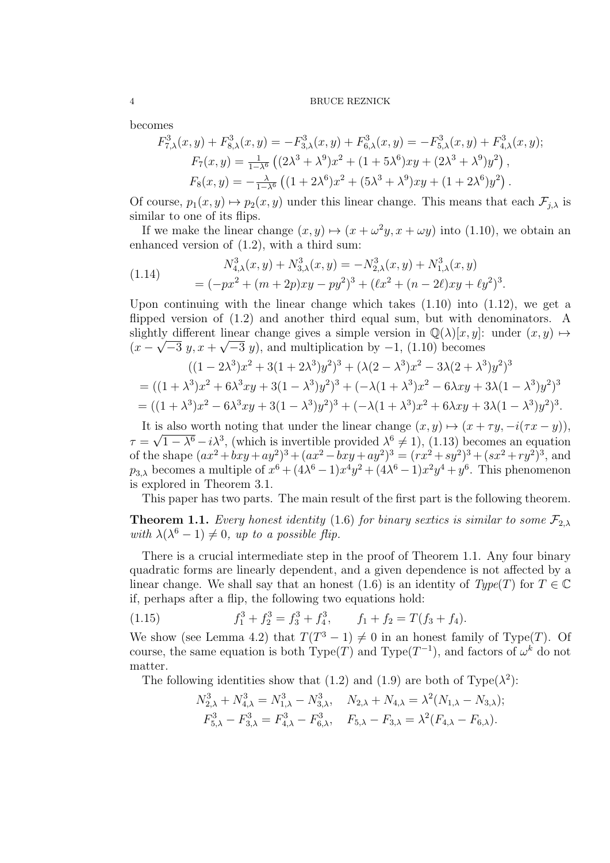becomes

$$
F_{7,\lambda}^3(x,y) + F_{8,\lambda}^3(x,y) = -F_{3,\lambda}^3(x,y) + F_{6,\lambda}^3(x,y) = -F_{5,\lambda}^3(x,y) + F_{4,\lambda}^3(x,y);
$$
  
\n
$$
F_7(x,y) = \frac{1}{1-\lambda^6} \left( (2\lambda^3 + \lambda^9)x^2 + (1+5\lambda^6)xy + (2\lambda^3 + \lambda^9)y^2 \right),
$$
  
\n
$$
F_8(x,y) = -\frac{\lambda}{1-\lambda^6} \left( (1+2\lambda^6)x^2 + (5\lambda^3 + \lambda^9)xy + (1+2\lambda^6)y^2 \right).
$$

Of course,  $p_1(x, y) \mapsto p_2(x, y)$  under this linear change. This means that each  $\mathcal{F}_{i,\lambda}$  is similar to one of its flips.

If we make the linear change  $(x, y) \mapsto (x + \omega^2 y, x + \omega y)$  into (1.10), we obtain an enhanced version of (1.2), with a third sum:

(1.14) 
$$
N_{4,\lambda}^3(x,y) + N_{3,\lambda}^3(x,y) = -N_{2,\lambda}^3(x,y) + N_{1,\lambda}^3(x,y)
$$

$$
= (-px^2 + (m+2p)xy - py^2)^3 + (\ell x^2 + (n-2\ell)xy + \ell y^2)^3.
$$

Upon continuing with the linear change which takes  $(1.10)$  into  $(1.12)$ , we get a flipped version of (1.2) and another third equal sum, but with denominators. A slightly different linear change gives a simple version in  $\mathbb{Q}(\lambda)[x, y]$ : under  $(x, y) \mapsto$  $(x - \sqrt{-3} y, x + \sqrt{-3} y)$ , and multiplication by  $-1$ , (1.10) becomes

$$
((1 - 2\lambda^3)x^2 + 3(1 + 2\lambda^3)y^2)^3 + (\lambda(2 - \lambda^3)x^2 - 3\lambda(2 + \lambda^3)y^2)^3
$$
  
=  $((1 + \lambda^3)x^2 + 6\lambda^3xy + 3(1 - \lambda^3)y^2)^3 + (-\lambda(1 + \lambda^3)x^2 - 6\lambda xy + 3\lambda(1 - \lambda^3)y^2)^3$   
=  $((1 + \lambda^3)x^2 - 6\lambda^3xy + 3(1 - \lambda^3)y^2)^3 + (-\lambda(1 + \lambda^3)x^2 + 6\lambda xy + 3\lambda(1 - \lambda^3)y^2)^3$ .

It is also worth noting that under the linear change  $(x, y) \mapsto (x + \tau y, -i(\tau x - y)),$  $\tau = \sqrt{1 - \lambda^6} - i\lambda^3$ , (which is invertible provided  $\lambda^6 \neq 1$ ), (1.13) becomes an equation of the shape  $(ax^2 + bxy + ay^2)^3 + (ax^2 - bxy + ay^2)^3 = (rx^2 + sy^2)^3 + (sx^2 + ry^2)^3$ , and  $p_{3,\lambda}$  becomes a multiple of  $x^6 + (4\lambda^6 - 1)x^4y^2 + (4\lambda^6 - 1)x^2y^4 + y^6$ . This phenomenon is explored in Theorem 3.1.

This paper has two parts. The main result of the first part is the following theorem.

**Theorem 1.1.** Every honest identity (1.6) for binary sextics is similar to some  $\mathcal{F}_{2,\lambda}$ with  $\lambda(\lambda^6 - 1) \neq 0$ , up to a possible flip.

There is a crucial intermediate step in the proof of Theorem 1.1. Any four binary quadratic forms are linearly dependent, and a given dependence is not affected by a linear change. We shall say that an honest (1.6) is an identity of  $Type(T)$  for  $T \in \mathbb{C}$ if, perhaps after a flip, the following two equations hold:

(1.15) 
$$
f_1^3 + f_2^3 = f_3^3 + f_4^3, \qquad f_1 + f_2 = T(f_3 + f_4).
$$

We show (see Lemma 4.2) that  $T(T^3 - 1) \neq 0$  in an honest family of Type(T). Of course, the same equation is both Type(T) and Type( $T^{-1}$ ), and factors of  $\omega^k$  do not matter.

The following identities show that (1.2) and (1.9) are both of Type( $\lambda^2$ ):

$$
N_{2,\lambda}^3 + N_{4,\lambda}^3 = N_{1,\lambda}^3 - N_{3,\lambda}^3, \quad N_{2,\lambda} + N_{4,\lambda} = \lambda^2 (N_{1,\lambda} - N_{3,\lambda});
$$
  

$$
F_{5,\lambda}^3 - F_{3,\lambda}^3 = F_{4,\lambda}^3 - F_{6,\lambda}^3, \quad F_{5,\lambda} - F_{3,\lambda} = \lambda^2 (F_{4,\lambda} - F_{6,\lambda}).
$$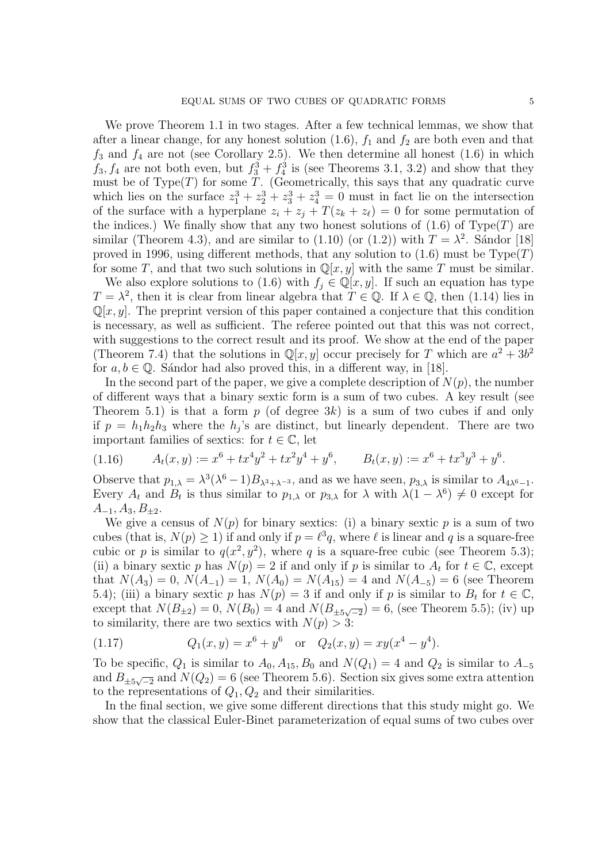We prove Theorem 1.1 in two stages. After a few technical lemmas, we show that after a linear change, for any honest solution  $(1.6)$ ,  $f_1$  and  $f_2$  are both even and that  $f_3$  and  $f_4$  are not (see Corollary 2.5). We then determine all honest (1.6) in which  $f_3, f_4$  are not both even, but  $f_3^3 + f_4^3$  is (see Theorems 3.1, 3.2) and show that they must be of  $Type(T)$  for some T. (Geometrically, this says that any quadratic curve which lies on the surface  $z_1^3 + z_2^3 + z_3^3 + z_4^3 = 0$  must in fact lie on the intersection of the surface with a hyperplane  $z_i + z_j + T(z_k + z_\ell) = 0$  for some permutation of the indices.) We finally show that any two honest solutions of  $(1.6)$  of Type(T) are similar (Theorem 4.3), and are similar to (1.10) (or (1.2)) with  $T = \lambda^2$ . Sándor [18] proved in 1996, using different methods, that any solution to  $(1.6)$  must be  $Type(T)$ for some T, and that two such solutions in  $\mathbb{Q}[x, y]$  with the same T must be similar.

We also explore solutions to (1.6) with  $f_j \in \mathbb{Q}[x, y]$ . If such an equation has type  $T = \lambda^2$ , then it is clear from linear algebra that  $T \in \mathbb{Q}$ . If  $\lambda \in \mathbb{Q}$ , then (1.14) lies in  $\mathbb{Q}[x, y]$ . The preprint version of this paper contained a conjecture that this condition is necessary, as well as sufficient. The referee pointed out that this was not correct, with suggestions to the correct result and its proof. We show at the end of the paper (Theorem 7.4) that the solutions in  $\mathbb{Q}[x, y]$  occur precisely for T which are  $a^2 + 3b^2$ for  $a, b \in \mathbb{Q}$ . Sándor had also proved this, in a different way, in [18].

In the second part of the paper, we give a complete description of  $N(p)$ , the number of different ways that a binary sextic form is a sum of two cubes. A key result (see Theorem 5.1) is that a form  $p$  (of degree 3k) is a sum of two cubes if and only if  $p = h_1 h_2 h_3$  where the  $h_j$ 's are distinct, but linearly dependent. There are two important families of sextics: for  $t \in \mathbb{C}$ , let

$$
(1.16) \qquad A_t(x,y) := x^6 + tx^4y^2 + tx^2y^4 + y^6, \qquad B_t(x,y) := x^6 + tx^3y^3 + y^6.
$$

Observe that  $p_{1,\lambda} = \lambda^3(\lambda^6 - 1)B_{\lambda^3 + \lambda^{-3}}$ , and as we have seen,  $p_{3,\lambda}$  is similar to  $A_{4\lambda^6 - 1}$ . Every  $A_t$  and  $B_t$  is thus similar to  $p_{1,\lambda}$  or  $p_{3,\lambda}$  for  $\lambda$  with  $\lambda(1-\lambda^6) \neq 0$  except for  $A_{-1}, A_3, B_{\pm 2}.$ 

We give a census of  $N(p)$  for binary sextics: (i) a binary sextic p is a sum of two cubes (that is,  $N(p) \ge 1$ ) if and only if  $p = \ell^3 q$ , where  $\ell$  is linear and q is a square-free cubic or p is similar to  $q(x^2, y^2)$ , where q is a square-free cubic (see Theorem 5.3); (ii) a binary sextic p has  $N(p) = 2$  if and only if p is similar to  $A_t$  for  $t \in \mathbb{C}$ , except that  $N(A_3) = 0$ ,  $N(A_{-1}) = 1$ ,  $N(A_0) = N(A_{15}) = 4$  and  $N(A_{-5}) = 6$  (see Theorem 5.4); (iii) a binary sextic p has  $N(p) = 3$  if and only if p is similar to  $B_t$  for  $t \in \mathbb{C}$ , except that  $N(B_{\pm 2}) = 0$ ,  $N(B_0) = 4$  and  $N(B_{\pm 5\sqrt{-2}}) = 6$ , (see Theorem 5.5); (iv) up to similarity, there are two sextics with  $N(p) > 3$ :

(1.17) 
$$
Q_1(x,y) = x^6 + y^6 \text{ or } Q_2(x,y) = xy(x^4 - y^4).
$$

To be specific,  $Q_1$  is similar to  $A_0$ ,  $A_{15}$ ,  $B_0$  and  $N(Q_1) = 4$  and  $Q_2$  is similar to  $A_{-5}$ and  $B_{\pm 5\sqrt{-2}}$  and  $N(Q_2) = 6$  (see Theorem 5.6). Section six gives some extra attention to the representations of  $Q_1, Q_2$  and their similarities.

In the final section, we give some different directions that this study might go. We show that the classical Euler-Binet parameterization of equal sums of two cubes over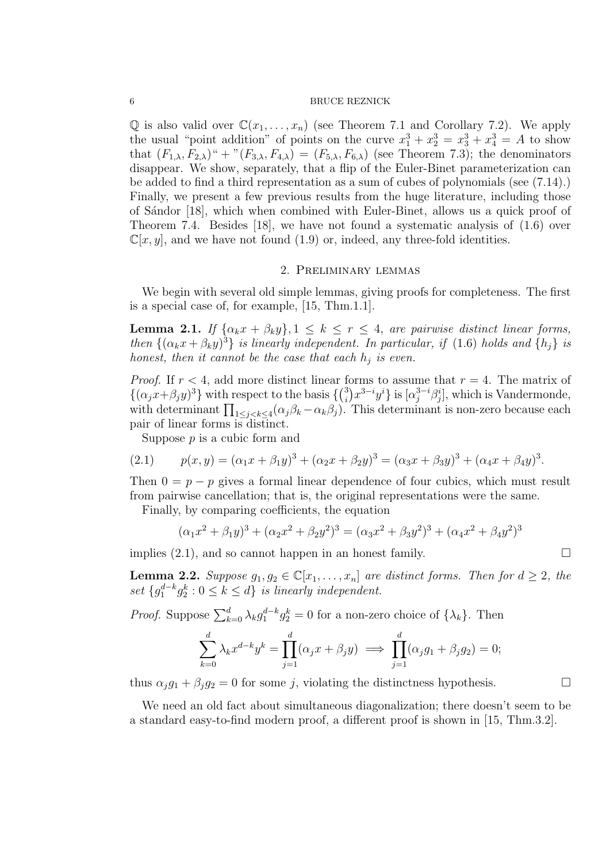$\mathbb Q$  is also valid over  $\mathbb C(x_1,\ldots,x_n)$  (see Theorem 7.1 and Corollary 7.2). We apply the usual "point addition" of points on the curve  $x_1^3 + x_2^3 = x_3^3 + x_4^3 = A$  to show that  $(F_{1,\lambda}, F_{2,\lambda})^{\alpha}$  + " $(F_{3,\lambda}, F_{4,\lambda}) = (F_{5,\lambda}, F_{6,\lambda})$  (see Theorem 7.3); the denominators disappear. We show, separately, that a flip of the Euler-Binet parameterization can be added to find a third representation as a sum of cubes of polynomials (see (7.14).) Finally, we present a few previous results from the huge literature, including those of S´andor [18], which when combined with Euler-Binet, allows us a quick proof of Theorem 7.4. Besides [18], we have not found a systematic analysis of (1.6) over  $\mathbb{C}[x, y]$ , and we have not found (1.9) or, indeed, any three-fold identities.

## 2. Preliminary lemmas

We begin with several old simple lemmas, giving proofs for completeness. The first is a special case of, for example, [15, Thm.1.1].

**Lemma 2.1.** If  $\{\alpha_k x + \beta_k y\}$ ,  $1 \leq k \leq r \leq 4$ , are pairwise distinct linear forms, then  $\{(\alpha_k x + \beta_k y)^3\}$  is linearly independent. In particular, if (1.6) holds and  $\{h_j\}$  is honest, then it cannot be the case that each  $h_j$  is even.

*Proof.* If  $r < 4$ , add more distinct linear forms to assume that  $r = 4$ . The matrix of  $\{(\alpha_j x+\beta_j y)^3\}$  with respect to the basis  $\{\binom{3}{i}\}$  $\{a_j^{3} \}$  $x^{3-i}y^i\}$  is  $[\alpha_j^{3-i} \beta_j^i]$ , which is Vandermonde, with determinant  $\prod_{1 \leq j < k \leq 4} (\alpha_j \beta_k - \alpha_k \beta_j)$ . This determinant is non-zero because each pair of linear forms is distinct.

Suppose  $p$  is a cubic form and

(2.1) 
$$
p(x,y) = (\alpha_1 x + \beta_1 y)^3 + (\alpha_2 x + \beta_2 y)^3 = (\alpha_3 x + \beta_3 y)^3 + (\alpha_4 x + \beta_4 y)^3.
$$

Then  $0 = p - p$  gives a formal linear dependence of four cubics, which must result from pairwise cancellation; that is, the original representations were the same.

Finally, by comparing coefficients, the equation

$$
(\alpha_1 x^2 + \beta_1 y)^3 + (\alpha_2 x^2 + \beta_2 y^2)^3 = (\alpha_3 x^2 + \beta_3 y^2)^3 + (\alpha_4 x^2 + \beta_4 y^2)^3
$$

implies  $(2.1)$ , and so cannot happen in an honest family.

**Lemma 2.2.** Suppose  $g_1, g_2 \in \mathbb{C}[x_1, \ldots, x_n]$  are distinct forms. Then for  $d \geq 2$ , the set  $\{g_1^{d-k}g_2^k : 0 \le k \le d\}$  is linearly independent.

*Proof.* Suppose  $\sum_{k=0}^{d} \lambda_k g_1^{d-k} g_2^k = 0$  for a non-zero choice of  $\{\lambda_k\}$ . Then

$$
\sum_{k=0}^d \lambda_k x^{d-k} y^k = \prod_{j=1}^d (\alpha_j x + \beta_j y) \implies \prod_{j=1}^d (\alpha_j g_1 + \beta_j g_2) = 0;
$$

thus  $\alpha_j g_1 + \beta_j g_2 = 0$  for some j, violating the distinctness hypothesis.

We need an old fact about simultaneous diagonalization; there doesn't seem to be a standard easy-to-find modern proof, a different proof is shown in [15, Thm.3.2].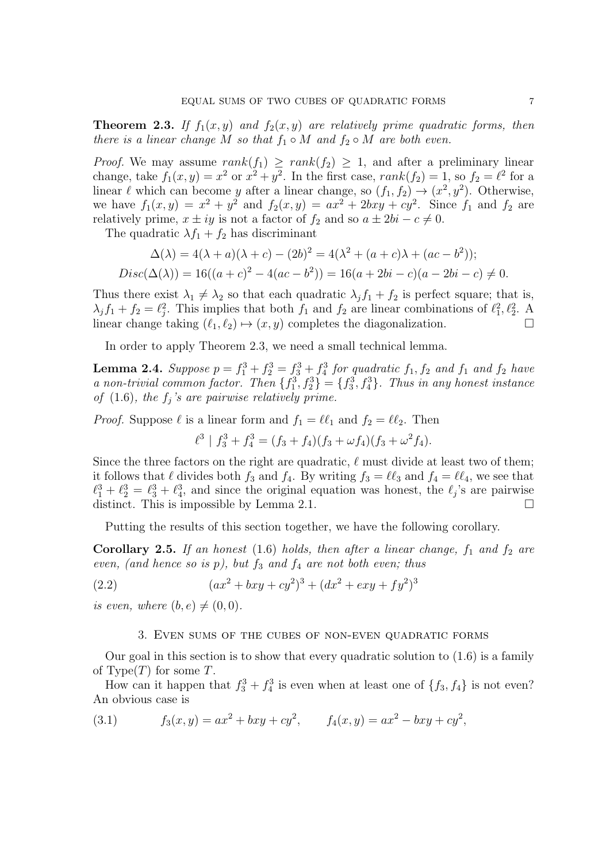**Theorem 2.3.** If  $f_1(x, y)$  and  $f_2(x, y)$  are relatively prime quadratic forms, then there is a linear change M so that  $f_1 \circ M$  and  $f_2 \circ M$  are both even.

*Proof.* We may assume  $rank(f_1) \geq rank(f_2) \geq 1$ , and after a preliminary linear change, take  $f_1(x, y) = x^2$  or  $x^2 + y^2$ . In the first case,  $rank(f_2) = 1$ , so  $f_2 = \ell^2$  for a linear  $\ell$  which can become y after a linear change, so  $(f_1, f_2) \to (x^2, y^2)$ . Otherwise, we have  $f_1(x, y) = x^2 + y^2$  and  $f_2(x, y) = ax^2 + 2bxy + cy^2$ . Since  $f_1$  and  $f_2$  are relatively prime,  $x \pm iy$  is not a factor of  $f_2$  and so  $a \pm 2bi - c \neq 0$ .

The quadratic  $\lambda f_1 + f_2$  has discriminant

$$
\Delta(\lambda) = 4(\lambda + a)(\lambda + c) - (2b)^2 = 4(\lambda^2 + (a + c)\lambda + (ac - b^2));
$$
  
\n
$$
Disc(\Delta(\lambda)) = 16((a + c)^2 - 4(ac - b^2)) = 16(a + 2bi - c)(a - 2bi - c) \neq 0.
$$

Thus there exist  $\lambda_1 \neq \lambda_2$  so that each quadratic  $\lambda_j f_1 + f_2$  is perfect square; that is,  $\lambda_j f_1 + f_2 = \ell_j^2$ . This implies that both  $f_1$  and  $f_2$  are linear combinations of  $\ell_1^2, \ell_2^2$ . A linear change taking  $(\ell_1, \ell_2) \mapsto (x, y)$  completes the diagonalization.

In order to apply Theorem 2.3, we need a small technical lemma.

**Lemma 2.4.** Suppose  $p = f_1^3 + f_2^3 = f_3^3 + f_4^3$  for quadratic  $f_1, f_2$  and  $f_1$  and  $f_2$  have a non-trivial common factor. Then  $\{f_1^3, f_2^3\} = \{f_3^3, f_4^3\}$ . Thus in any honest instance of  $(1.6)$ , the  $f_j$ 's are pairwise relatively prime.

*Proof.* Suppose  $\ell$  is a linear form and  $f_1 = \ell \ell_1$  and  $f_2 = \ell \ell_2$ . Then

$$
\ell^{3} | f_{3}^{3} + f_{4}^{3} = (f_{3} + f_{4})(f_{3} + \omega f_{4})(f_{3} + \omega^{2} f_{4}).
$$

Since the three factors on the right are quadratic,  $\ell$  must divide at least two of them; it follows that  $\ell$  divides both  $f_3$  and  $f_4$ . By writing  $f_3 = \ell \ell_3$  and  $f_4 = \ell \ell_4$ , we see that  $\ell_1^3 + \ell_2^3 = \ell_3^3 + \ell_4^3$ , and since the original equation was honest, the  $\ell_j$ 's are pairwise distinct. This is impossible by Lemma 2.1.  $\Box$ 

Putting the results of this section together, we have the following corollary.

**Corollary 2.5.** If an honest (1.6) holds, then after a linear change,  $f_1$  and  $f_2$  are even, (and hence so is  $p$ ), but  $f_3$  and  $f_4$  are not both even; thus

(2.2) 
$$
(ax^2 + bxy + cy^2)^3 + (dx^2 + exp + fy^2)^3
$$

is even, where  $(b, e) \neq (0, 0)$ .

#### 3. Even sums of the cubes of non-even quadratic forms

Our goal in this section is to show that every quadratic solution to  $(1.6)$  is a family of Type $(T)$  for some T.

How can it happen that  $f_3^3 + f_4^3$  is even when at least one of  $\{f_3, f_4\}$  is not even? An obvious case is

(3.1) 
$$
f_3(x,y) = ax^2 + bxy + cy^2, \qquad f_4(x,y) = ax^2 - bxy + cy^2,
$$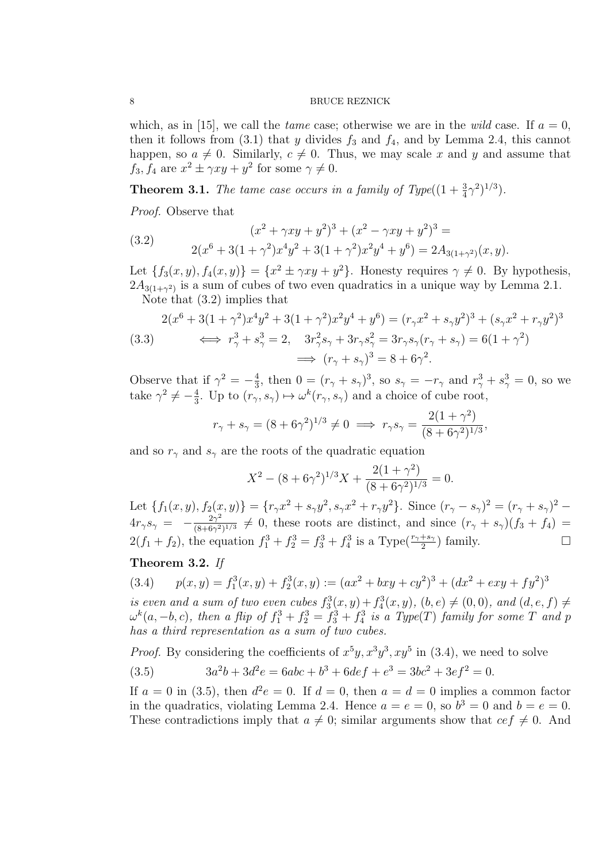which, as in [15], we call the *tame* case; otherwise we are in the *wild* case. If  $a = 0$ , then it follows from (3.1) that y divides  $f_3$  and  $f_4$ , and by Lemma 2.4, this cannot happen, so  $a \neq 0$ . Similarly,  $c \neq 0$ . Thus, we may scale x and y and assume that  $f_3, f_4$  are  $x^2 \pm \gamma xy + y^2$  for some  $\gamma \neq 0$ .

**Theorem 3.1.** The tame case occurs in a family of Type( $(1 + \frac{3}{4}\gamma^2)^{1/3}$ ).

Proof. Observe that

(3.2) 
$$
(x^2 + \gamma xy + y^2)^3 + (x^2 - \gamma xy + y^2)^3 =
$$

$$
2(x^6 + 3(1 + \gamma^2)x^4y^2 + 3(1 + \gamma^2)x^2y^4 + y^6) = 2A_{3(1 + \gamma^2)}(x, y).
$$

Let  $\{f_3(x, y), f_4(x, y)\} = \{x^2 \pm \gamma xy + y^2\}$ . Honesty requires  $\gamma \neq 0$ . By hypothesis,  $2A_{3(1+\gamma^2)}$  is a sum of cubes of two even quadratics in a unique way by Lemma 2.1.

Note that (3.2) implies that

$$
(3.3) \qquad \Longleftrightarrow r_{\gamma}^{3} + s_{\gamma}^{3} = 2, \quad 3r_{\gamma}^{2}s_{\gamma} + 3r_{\gamma}s_{\gamma}^{2} = (r_{\gamma}x^{2} + s_{\gamma}y^{2})^{3} + (s_{\gamma}x^{2} + r_{\gamma}y^{2})^{3}
$$
\n
$$
\Longleftrightarrow r_{\gamma}^{3} + s_{\gamma}^{3} = 2, \quad 3r_{\gamma}^{2}s_{\gamma} + 3r_{\gamma}s_{\gamma}^{2} = 3r_{\gamma}s_{\gamma}(r_{\gamma} + s_{\gamma}) = 6(1 + \gamma^{2})
$$
\n
$$
\Longrightarrow (r_{\gamma} + s_{\gamma})^{3} = 8 + 6\gamma^{2}.
$$

Observe that if  $\gamma^2 = -\frac{4}{3}$  $\frac{4}{3}$ , then  $0 = (r_{\gamma} + s_{\gamma})^3$ , so  $s_{\gamma} = -r_{\gamma}$  and  $r_{\gamma}^3 + s_{\gamma}^3 = 0$ , so we take  $\gamma^2 \neq -\frac{4}{3}$  $\frac{4}{3}$ . Up to  $(r_{\gamma}, s_{\gamma}) \mapsto \omega^{k}(r_{\gamma}, s_{\gamma})$  and a choice of cube root,

$$
r_{\gamma} + s_{\gamma} = (8 + 6\gamma^2)^{1/3} \neq 0 \implies r_{\gamma}s_{\gamma} = \frac{2(1 + \gamma^2)}{(8 + 6\gamma^2)^{1/3}},
$$

and so  $r_{\gamma}$  and  $s_{\gamma}$  are the roots of the quadratic equation

$$
X^{2} - (8 + 6\gamma^{2})^{1/3}X + \frac{2(1 + \gamma^{2})}{(8 + 6\gamma^{2})^{1/3}} = 0.
$$

Let  $\{f_1(x, y), f_2(x, y)\} = \{r_\gamma x^2 + s_\gamma y^2, s_\gamma x^2 + r_\gamma y^2\}$ . Since  $(r_\gamma - s_\gamma)^2 = (r_\gamma + s_\gamma)^2$  $4r_{\gamma}s_{\gamma} = -\frac{2\gamma^2}{(8+6\gamma^2)}$  $\frac{2\gamma^2}{(8+6\gamma^2)^{1/3}} \neq 0$ , these roots are distinct, and since  $(r_\gamma + s_\gamma)(f_3 + f_4) =$  $2(f_1 + f_2)$ , the equation  $f_1^3 + f_2^3 = f_3^3 + f_4^3$  is a Type $(\frac{r_1 + s_2}{2})$  family.

# Theorem 3.2. If

(3.4) 
$$
p(x,y) = f_1^3(x,y) + f_2^3(x,y) := (ax^2 + bxy + cy^2)^3 + (dx^2 + exp + fy^2)^3
$$

is even and a sum of two even cubes  $f_3^3(x,y) + f_4^3(x,y)$ ,  $(b, e) \neq (0, 0)$ , and  $(d, e, f) \neq$  $\omega^k(a, -b, c)$ , then a flip of  $f_1^3 + f_2^3 = f_3^3 + f_4^3$  is a Type(T) family for some T and p has a third representation as a sum of two cubes.

*Proof.* By considering the coefficients of  $x^5y$ ,  $x^3y^3$ ,  $xy^5$  in (3.4), we need to solve

(3.5) 
$$
3a^2b + 3d^2e = 6abc + b^3 + 6def + e^3 = 3bc^2 + 3ef^2 = 0.
$$

If  $a = 0$  in (3.5), then  $d^2e = 0$ . If  $d = 0$ , then  $a = d = 0$  implies a common factor in the quadratics, violating Lemma 2.4. Hence  $a = e = 0$ , so  $b^3 = 0$  and  $b = e = 0$ . These contradictions imply that  $a \neq 0$ ; similar arguments show that  $ce f \neq 0$ . And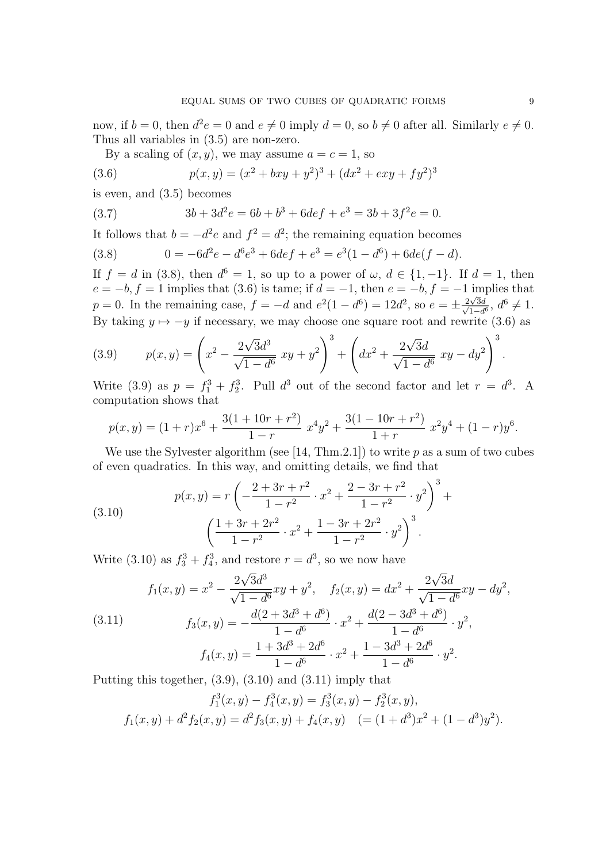now, if  $b = 0$ , then  $d^2 e = 0$  and  $e \neq 0$  imply  $d = 0$ , so  $b \neq 0$  after all. Similarly  $e \neq 0$ . Thus all variables in (3.5) are non-zero.

By a scaling of  $(x, y)$ , we may assume  $a = c = 1$ , so

(3.6) 
$$
p(x,y) = (x^2 + bxy + y^2)^3 + (dx^2 + exy + fy^2)^3
$$

is even, and (3.5) becomes

(3.7) 
$$
3b + 3d^2e = 6b + b^3 + 6def + e^3 = 3b + 3f^2e = 0.
$$

It follows that  $b = -d^2e$  and  $f^2 = d^2$ ; the remaining equation becomes

(3.8) 
$$
0 = -6d^2e - d^6e^3 + 6def + e^3 = e^3(1 - d^6) + 6de(f - d).
$$

If  $f = d$  in (3.8), then  $d^6 = 1$ , so up to a power of  $\omega, d \in \{1, -1\}$ . If  $d = 1$ , then  $e = -b$ ,  $f = 1$  implies that (3.6) is tame; if  $d = -1$ , then  $e = -b$ ,  $f = -1$  implies that  $p = 0$ . In the remaining case,  $f = -d$  and  $e^{2}(1 - d^{6}) = 12d^{2}$ , so  $e = \pm \frac{2\sqrt{3}}{\sqrt{3}}$  $\frac{2\sqrt{3}d}{\sqrt{3}}$  $\frac{d\sqrt{3d}}{1-d^6}, d^6 \neq 1.$ By taking  $y \mapsto -y$  if necessary, we may choose one square root and rewrite (3.6) as

(3.9) 
$$
p(x,y) = \left(x^2 - \frac{2\sqrt{3}d^3}{\sqrt{1-d^6}}xy + y^2\right)^3 + \left(dx^2 + \frac{2\sqrt{3}d}{\sqrt{1-d^6}}xy - dy^2\right)^3.
$$

Write (3.9) as  $p = f_1^3 + f_2^3$ . Pull  $d^3$  out of the second factor and let  $r = d^3$ . A computation shows that

$$
p(x,y) = (1+r)x^{6} + \frac{3(1+10r+r^{2})}{1-r}x^{4}y^{2} + \frac{3(1-10r+r^{2})}{1+r}x^{2}y^{4} + (1-r)y^{6}.
$$

We use the Sylvester algorithm (see [14, Thm.2.1]) to write  $p$  as a sum of two cubes of even quadratics. In this way, and omitting details, we find that

(3.10) 
$$
p(x,y) = r \left( -\frac{2+3r+r^2}{1-r^2} \cdot x^2 + \frac{2-3r+r^2}{1-r^2} \cdot y^2 \right)^3 + \left( \frac{1+3r+2r^2}{1-r^2} \cdot x^2 + \frac{1-3r+2r^2}{1-r^2} \cdot y^2 \right)^3.
$$

Write (3.10) as  $f_3^3 + f_4^3$ , and restore  $r = d^3$ , so we now have

(3.11) 
$$
f_1(x,y) = x^2 - \frac{2\sqrt{3}d^3}{\sqrt{1-d^6}}xy + y^2, \quad f_2(x,y) = dx^2 + \frac{2\sqrt{3}d}{\sqrt{1-d^6}}xy - dy^2,
$$

$$
f_3(x,y) = -\frac{d(2+3d^3+d^6)}{1-d^6} \cdot x^2 + \frac{d(2-3d^3+d^6)}{1-d^6} \cdot y^2,
$$

$$
f_4(x,y) = \frac{1+3d^3+2d^6}{1-d^6} \cdot x^2 + \frac{1-3d^3+2d^6}{1-d^6} \cdot y^2.
$$

Putting this together, (3.9), (3.10) and (3.11) imply that

$$
f_1^3(x, y) - f_4^3(x, y) = f_3^3(x, y) - f_2^3(x, y),
$$
  

$$
f_1(x, y) + d^2 f_2(x, y) = d^2 f_3(x, y) + f_4(x, y) \quad (= (1 + d^3)x^2 + (1 - d^3)y^2).
$$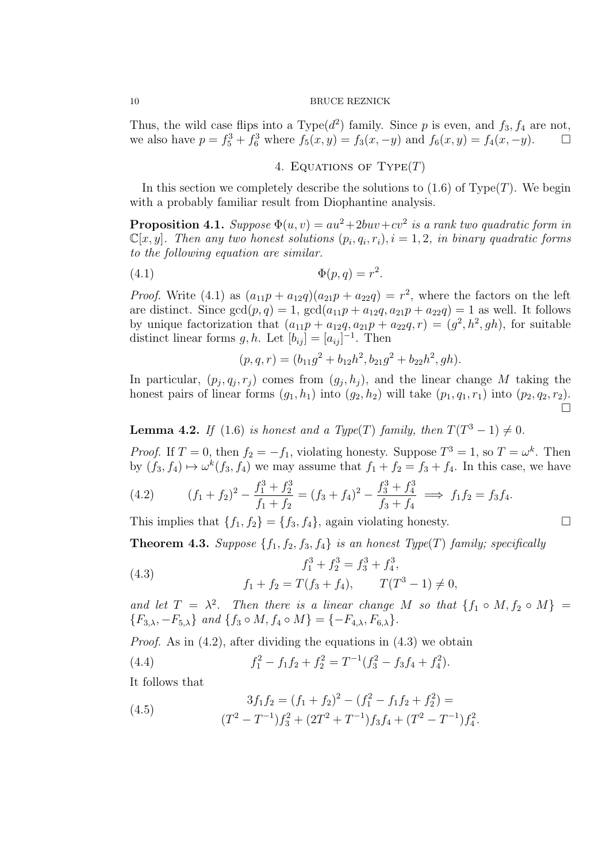Thus, the wild case flips into a Type( $d^2$ ) family. Since p is even, and  $f_3, f_4$  are not, we also have  $p = f_5^3 + f_6^3$  where  $f_5(x, y) = f_3(x, -y)$  and  $f_6(x, y) = f_4(x, -y)$ .

4. EQUATIONS OF  $Type(T)$ 

In this section we completely describe the solutions to  $(1.6)$  of Type $(T)$ . We begin with a probably familiar result from Diophantine analysis.

**Proposition 4.1.** Suppose  $\Phi(u, v) = au^2 + 2buv + cv^2$  is a rank two quadratic form in  $\mathbb{C}[x,y]$ . Then any two honest solutions  $(p_i,q_i,r_i)$ ,  $i=1,2$ , in binary quadratic forms to the following equation are similar.

$$
(4.1) \t\t \t\t \Phi(p,q) = r^2.
$$

*Proof.* Write (4.1) as  $(a_{11}p + a_{12}q)(a_{21}p + a_{22}q) = r^2$ , where the factors on the left are distinct. Since  $gcd(p, q) = 1$ ,  $gcd(a_{11}p + a_{12}q, a_{21}p + a_{22}q) = 1$  as well. It follows by unique factorization that  $(a_{11}p + a_{12}q, a_{21}p + a_{22}q, r) = (g^2, h^2, gh)$ , for suitable distinct linear forms  $g, h$ . Let  $[b_{ij}] = [a_{ij}]^{-1}$ . Then

$$
(p, q, r) = (b_{11}g^{2} + b_{12}h^{2}, b_{21}g^{2} + b_{22}h^{2}, gh).
$$

In particular,  $(p_j, q_j, r_j)$  comes from  $(q_j, h_j)$ , and the linear change M taking the honest pairs of linear forms  $(g_1, h_1)$  into  $(g_2, h_2)$  will take  $(p_1, q_1, r_1)$  into  $(p_2, q_2, r_2)$ .  $\Box$ 

**Lemma 4.2.** If (1.6) is honest and a Type(T) family, then  $T(T^3 - 1) \neq 0$ .

*Proof.* If  $T = 0$ , then  $f_2 = -f_1$ , violating honesty. Suppose  $T^3 = 1$ , so  $T = \omega^k$ . Then by  $(f_3, f_4) \mapsto \omega^k(f_3, f_4)$  we may assume that  $f_1 + f_2 = f_3 + f_4$ . In this case, we have

(4.2) 
$$
(f_1 + f_2)^2 - \frac{f_1^3 + f_2^3}{f_1 + f_2} = (f_3 + f_4)^2 - \frac{f_3^3 + f_4^3}{f_3 + f_4} \implies f_1 f_2 = f_3 f_4.
$$

This implies that  $\{f_1, f_2\} = \{f_3, f_4\}$ , again violating honesty.

**Theorem 4.3.** Suppose  $\{f_1, f_2, f_3, f_4\}$  is an honest Type(T) family; specifically

(4.3) 
$$
f_1^3 + f_2^3 = f_3^3 + f_4^3,
$$

$$
f_1 + f_2 = T(f_3 + f_4), \qquad T(T^3 - 1) \neq
$$

and let  $T = \lambda^2$ . Then there is a linear change M so that  $\{f_1 \circ M, f_2 \circ M\}$  ${F_{3,\lambda}, -F_{5,\lambda}}$  and  ${f_3 \circ M, f_4 \circ M} = {-F_{4,\lambda}, F_{6,\lambda}}$ .

 $\overline{0}$ ,

*Proof.* As in  $(4.2)$ , after dividing the equations in  $(4.3)$  we obtain

 $(4.4)$  $f_1^2 - f_1 f_2 + f_2^2 = T^{-1} (f_3^2 - f_3 f_4 + f_4^2).$ 

It follows that

(4.5) 
$$
3f_1f_2 = (f_1 + f_2)^2 - (f_1^2 - f_1f_2 + f_2^2) =
$$

$$
(T^2 - T^{-1})f_3^2 + (2T^2 + T^{-1})f_3f_4 + (T^2 - T^{-1})f_4^2.
$$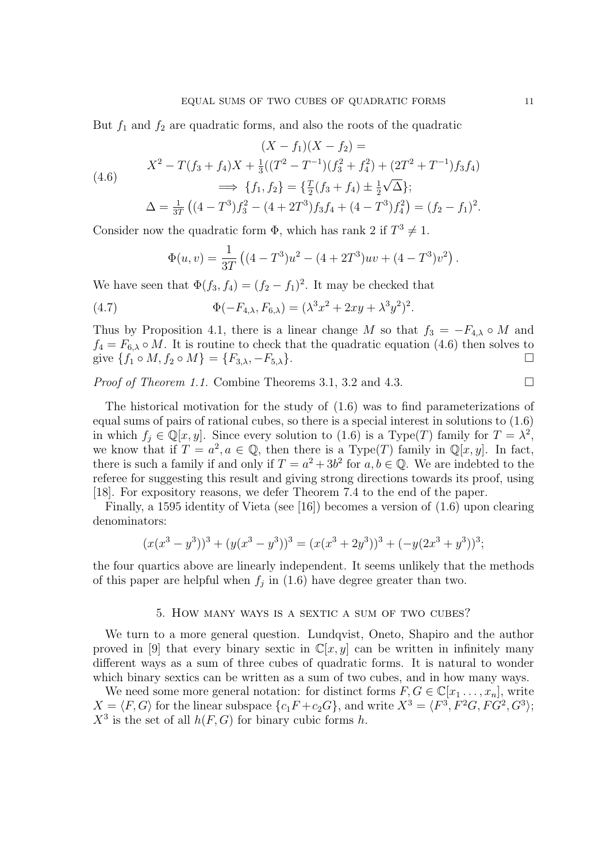But  $f_1$  and  $f_2$  are quadratic forms, and also the roots of the quadratic

$$
(X - f_1)(X - f_2) =
$$
  
(4.6)  

$$
X^2 - T(f_3 + f_4)X + \frac{1}{3}((T^2 - T^{-1})(f_3^2 + f_4^2) + (2T^2 + T^{-1})f_3f_4)
$$

$$
\implies \{f_1, f_2\} = \{\frac{T}{2}(f_3 + f_4) \pm \frac{1}{2}\sqrt{\Delta}\};
$$

$$
\Delta = \frac{1}{3T}((4 - T^3)f_3^2 - (4 + 2T^3)f_3f_4 + (4 - T^3)f_4^2) = (f_2 - f_1)^2.
$$

Consider now the quadratic form  $\Phi$ , which has rank 2 if  $T^3 \neq 1$ .

$$
\Phi(u,v) = \frac{1}{3T} \left( (4 - T^3)u^2 - (4 + 2T^3)uv + (4 - T^3)v^2 \right).
$$

We have seen that  $\Phi(f_3, f_4) = (f_2 - f_1)^2$ . It may be checked that

(4.7) 
$$
\Phi(-F_{4,\lambda}, F_{6,\lambda}) = (\lambda^3 x^2 + 2xy + \lambda^3 y^2)^2.
$$

Thus by Proposition 4.1, there is a linear change M so that  $f_3 = -F_{4,\lambda} \circ M$  and  $f_4 = F_{6,\lambda} \circ M$ . It is routine to check that the quadratic equation (4.6) then solves to give  $\{f_1 \circ M, f_2 \circ M\} = \{F_{3,\lambda}, -F_{5,\lambda}\}.$ 

*Proof of Theorem 1.1.* Combine Theorems 3.1, 3.2 and 4.3.

The historical motivation for the study of (1.6) was to find parameterizations of equal sums of pairs of rational cubes, so there is a special interest in solutions to (1.6) in which  $f_j \in \mathbb{Q}[x, y]$ . Since every solution to  $(1.6)$  is a Type(T) family for  $T = \lambda^2$ ,

we know that if  $T = a^2, a \in \mathbb{Q}$ , then there is a Type(T) family in  $\mathbb{Q}[x, y]$ . In fact, there is such a family if and only if  $T = a^2 + 3b^2$  for  $a, b \in \mathbb{Q}$ . We are indebted to the referee for suggesting this result and giving strong directions towards its proof, using [18]. For expository reasons, we defer Theorem 7.4 to the end of the paper.

Finally, a 1595 identity of Vieta (see [16]) becomes a version of (1.6) upon clearing denominators:

$$
(x(x3 - y3))3 + (y(x3 - y3))3 = (x(x3 + 2y3))3 + (-y(2x3 + y3))3;
$$

the four quartics above are linearly independent. It seems unlikely that the methods of this paper are helpful when  $f_j$  in (1.6) have degree greater than two.

#### 5. How many ways is a sextic a sum of two cubes?

We turn to a more general question. Lundqvist, Oneto, Shapiro and the author proved in [9] that every binary sextic in  $\mathbb{C}[x, y]$  can be written in infinitely many different ways as a sum of three cubes of quadratic forms. It is natural to wonder which binary sextics can be written as a sum of two cubes, and in how many ways.

We need some more general notation: for distinct forms  $F, G \in \mathbb{C}[x_1, \ldots, x_n]$ , write  $X = \langle F, G \rangle$  for the linear subspace  $\{c_1F + c_2G\}$ , and write  $X^3 = \langle F^3, F^2G, FG^2, G^3 \rangle$ ;  $X^3$  is the set of all  $h(F, G)$  for binary cubic forms h.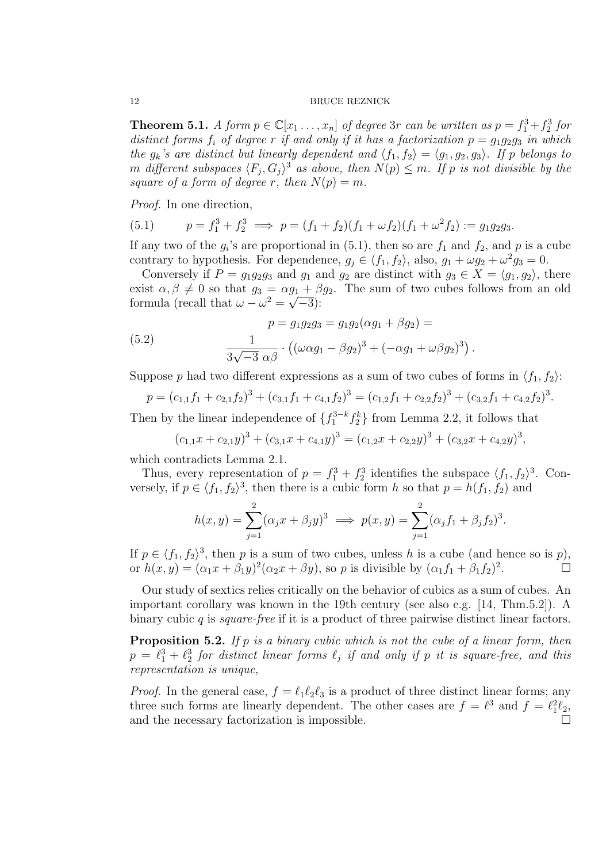**Theorem 5.1.** A form  $p \in \mathbb{C}[x_1, \ldots, x_n]$  of degree 3r can be written as  $p = f_1^3 + f_2^3$  for distinct forms  $f_i$  of degree r if and only if it has a factorization  $p = g_1g_2g_3$  in which the  $g_k$ 's are distinct but linearly dependent and  $\langle f_1, f_2 \rangle = \langle g_1, g_2, g_3 \rangle$ . If p belongs to m different subspaces  $\langle F_j, G_j \rangle^3$  as above, then  $N(p) \leq m$ . If p is not divisible by the square of a form of degree r, then  $N(p) = m$ .

Proof. In one direction,

(5.1) 
$$
p = f_1^3 + f_2^3 \implies p = (f_1 + f_2)(f_1 + \omega f_2)(f_1 + \omega^2 f_2) := g_1 g_2 g_3.
$$

If any two of the  $g_i$ 's are proportional in (5.1), then so are  $f_1$  and  $f_2$ , and p is a cube contrary to hypothesis. For dependence,  $g_j \in \langle f_1, f_2 \rangle$ , also,  $g_1 + \omega g_2 + \omega^2 g_3 = 0$ .

Conversely if  $P = g_1 g_2 g_3$  and  $g_1$  and  $g_2$  are distinct with  $g_3 \in X = \langle g_1, g_2 \rangle$ , there exist  $\alpha, \beta \neq 0$  so that  $g_3 = \alpha g_1 + \beta g_2$ . The sum of two cubes follows from an old formula (recall that  $\omega - \omega^2 = \sqrt{-3}$ ):

(5.2) 
$$
p = g_1 g_2 g_3 = g_1 g_2 (\alpha g_1 + \beta g_2) =
$$

$$
\frac{1}{3\sqrt{-3} \alpha \beta} \cdot ((\omega \alpha g_1 - \beta g_2)^3 + (-\alpha g_1 + \omega \beta g_2)^3).
$$

Suppose p had two different expressions as a sum of two cubes of forms in  $\langle f_1, f_2 \rangle$ :

$$
p = (c_{1,1}f_1 + c_{2,1}f_2)^3 + (c_{3,1}f_1 + c_{4,1}f_2)^3 = (c_{1,2}f_1 + c_{2,2}f_2)^3 + (c_{3,2}f_1 + c_{4,2}f_2)^3.
$$

Then by the linear independence of  $\{f_1^{3-k} f_2^k\}$  from Lemma 2.2, it follows that

$$
(c_{1,1}x + c_{2,1}y)^3 + (c_{3,1}x + c_{4,1}y)^3 = (c_{1,2}x + c_{2,2}y)^3 + (c_{3,2}x + c_{4,2}y)^3,
$$

which contradicts Lemma 2.1.

Thus, every representation of  $p = f_1^3 + f_2^3$  identifies the subspace  $\langle f_1, f_2 \rangle^3$ . Conversely, if  $p \in \langle f_1, f_2 \rangle^3$ , then there is a cubic form h so that  $p = h(f_1, f_2)$  and

$$
h(x,y) = \sum_{j=1}^{2} (\alpha_j x + \beta_j y)^3 \implies p(x,y) = \sum_{j=1}^{2} (\alpha_j f_1 + \beta_j f_2)^3.
$$

If  $p \in \langle f_1, f_2 \rangle^3$ , then p is a sum of two cubes, unless h is a cube (and hence so is p), or  $h(x,y) = (\alpha_1 x + \beta_1 y)^2 (\alpha_2 x + \beta y)$ , so p is divisible by  $(\alpha_1 f_1 + \beta_1 f_2)^2$ . — 11<br>.

Our study of sextics relies critically on the behavior of cubics as a sum of cubes. An important corollary was known in the 19th century (see also e.g. [14, Thm.5.2]). A binary cubic  $q$  is *square-free* if it is a product of three pairwise distinct linear factors.

**Proposition 5.2.** If p is a binary cubic which is not the cube of a linear form, then  $p = \ell_1^3 + \ell_2^3$  for distinct linear forms  $\ell_j$  if and only if p it is square-free, and this representation is unique,

*Proof.* In the general case,  $f = \ell_1 \ell_2 \ell_3$  is a product of three distinct linear forms; any three such forms are linearly dependent. The other cases are  $f = \ell^3$  and  $f = \ell_1^2 \ell_2$ , and the necessary factorization is impossible.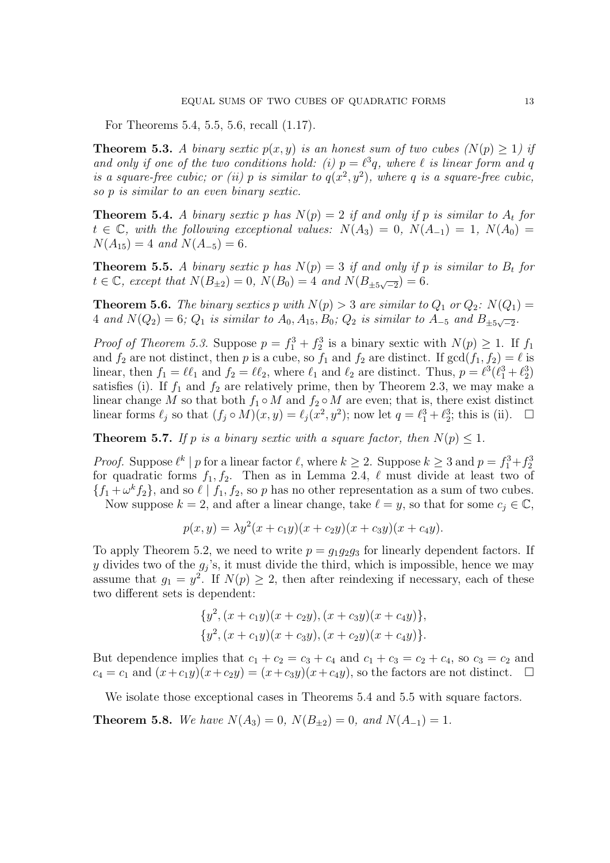For Theorems 5.4, 5.5, 5.6, recall (1.17).

**Theorem 5.3.** A binary sextic  $p(x, y)$  is an honest sum of two cubes  $(N(p) \geq 1)$  if and only if one of the two conditions hold: (i)  $p = \ell^3 q$ , where  $\ell$  is linear form and q is a square-free cubic; or (ii) p is similar to  $q(x^2, y^2)$ , where q is a square-free cubic, so p is similar to an even binary sextic.

**Theorem 5.4.** A binary sextic p has  $N(p) = 2$  if and only if p is similar to  $A_t$  for  $t \in \mathbb{C}$ , with the following exceptional values:  $N(A_3) = 0$ ,  $N(A_{-1}) = 1$ ,  $N(A_0) =$  $N(A_{15}) = 4$  and  $N(A_{-5}) = 6$ .

**Theorem 5.5.** A binary sextic p has  $N(p) = 3$  if and only if p is similar to  $B_t$  for  $t \in \mathbb{C}$ , except that  $N(B_{\pm 2}) = 0$ ,  $N(B_0) = 4$  and  $N(B_{\pm 5\sqrt{-2}}) = 6$ .

**Theorem 5.6.** The binary sextics p with  $N(p) > 3$  are similar to  $Q_1$  or  $Q_2$ :  $N(Q_1) =$ 4 and  $N(Q_2) = 6$ ;  $Q_1$  is similar to  $A_0, A_{15}, B_0$ ;  $Q_2$  is similar to  $A_{-5}$  and  $B_{\pm 5\sqrt{-2}}$ .

*Proof of Theorem 5.3.* Suppose  $p = f_1^3 + f_2^3$  is a binary sextic with  $N(p) \ge 1$ . If  $f_1$ and  $f_2$  are not distinct, then p is a cube, so  $f_1$  and  $f_2$  are distinct. If  $gcd(f_1, f_2) = \ell$  is linear, then  $f_1 = \ell \ell_1$  and  $f_2 = \ell \ell_2$ , where  $\ell_1$  and  $\ell_2$  are distinct. Thus,  $p = \ell^3(\ell_1^3 + \ell_2^3)$ satisfies (i). If  $f_1$  and  $f_2$  are relatively prime, then by Theorem 2.3, we may make a linear change M so that both  $f_1 \circ M$  and  $f_2 \circ M$  are even; that is, there exist distinct linear forms  $\ell_j$  so that  $(f_j \circ M)(x, y) = \ell_j (x^2, y^2)$ ; now let  $q = \ell_1^3 + \ell_2^3$ ; this is (ii).  $\Box$ 

**Theorem 5.7.** If p is a binary sextic with a square factor, then  $N(p) \leq 1$ .

*Proof.* Suppose  $\ell^k \mid p$  for a linear factor  $\ell$ , where  $k \geq 2$ . Suppose  $k \geq 3$  and  $p = f_1^3 + f_2^3$ for quadratic forms  $f_1, f_2$ . Then as in Lemma 2.4,  $\ell$  must divide at least two of  $\{f_1+\omega^k f_2\}$ , and so  $\ell \mid f_1, f_2$ , so p has no other representation as a sum of two cubes.

Now suppose  $k = 2$ , and after a linear change, take  $\ell = y$ , so that for some  $c_i \in \mathbb{C}$ ,

$$
p(x, y) = \lambda y^{2}(x + c_{1}y)(x + c_{2}y)(x + c_{3}y)(x + c_{4}y).
$$

To apply Theorem 5.2, we need to write  $p = q_1 q_2 q_3$  for linearly dependent factors. If y divides two of the  $g_j$ 's, it must divide the third, which is impossible, hence we may assume that  $g_1 = y^2$ . If  $N(p) \geq 2$ , then after reindexing if necessary, each of these two different sets is dependent:

$$
{y2, (x + c1y)(x + c2y), (x + c3y)(x + c4y)},{y2, (x + c1y)(x + c3y), (x + c2y)(x + c4y)}.
$$

But dependence implies that  $c_1 + c_2 = c_3 + c_4$  and  $c_1 + c_3 = c_2 + c_4$ , so  $c_3 = c_2$  and  $c_4 = c_1$  and  $(x+c_1y)(x+c_2y) = (x+c_3y)(x+c_4y)$ , so the factors are not distinct.  $\Box$ 

We isolate those exceptional cases in Theorems 5.4 and 5.5 with square factors.

**Theorem 5.8.** We have  $N(A_3) = 0$ ,  $N(B_{\pm 2}) = 0$ , and  $N(A_{-1}) = 1$ .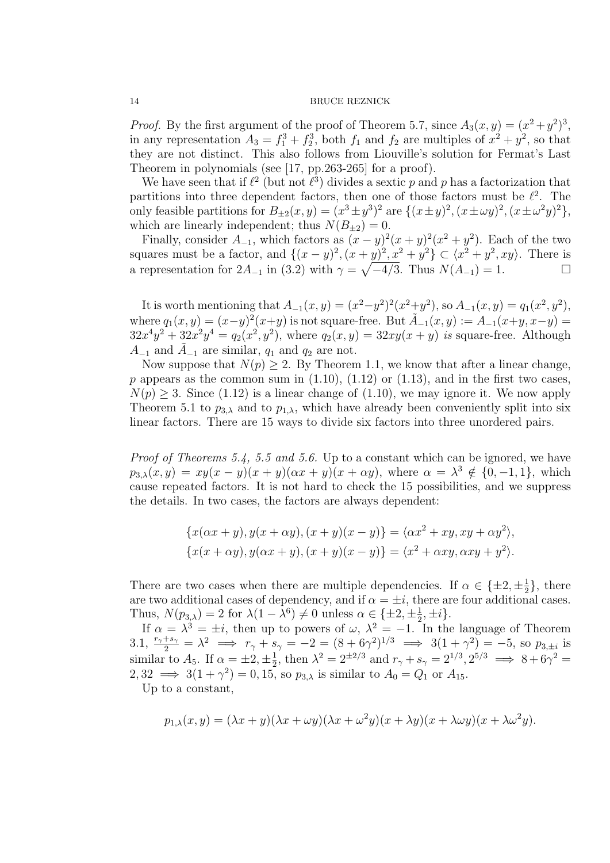*Proof.* By the first argument of the proof of Theorem 5.7, since  $A_3(x, y) = (x^2 + y^2)^3$ , in any representation  $A_3 = f_1^3 + f_2^3$ , both  $f_1$  and  $f_2$  are multiples of  $x^2 + y^2$ , so that they are not distinct. This also follows from Liouville's solution for Fermat's Last Theorem in polynomials (see [17, pp.263-265] for a proof).

We have seen that if  $\ell^2$  (but not  $\ell^3$ ) divides a sextic p and p has a factorization that partitions into three dependent factors, then one of those factors must be  $\ell^2$ . The only feasible partitions for  $B_{\pm 2}(x,y) = (x^3 \pm y^3)^2$  are  $\{(x \pm y)^2, (x \pm \omega y)^2, (x \pm \omega^2 y)^2\}$ , which are linearly independent; thus  $N(B_{\pm 2}) = 0$ .

Finally, consider  $A_{-1}$ , which factors as  $(x - y)^2(x + y)^2(x^2 + y^2)$ . Each of the two squares must be a factor, and  $\{(x-y)^2, (x+y)^2, x^2+y^2\} \subset \langle x^2+y^2, xy \rangle$ . There is a representation for  $2A_{-1}$  in (3.2) with  $\gamma = \sqrt{-4/3}$ . Thus  $N(A_{-1}) = 1$ .

It is worth mentioning that  $A_{-1}(x,y) = (x^2-y^2)^2(x^2+y^2)$ , so  $A_{-1}(x,y) = q_1(x^2,y^2)$ , where  $q_1(x, y) = (x-y)^2(x+y)$  is not square-free. But  $\tilde{A}_{-1}(x, y) := A_{-1}(x+y, x-y)$  $32x^{4}y^{2} + 32x^{2}y^{4} = q_{2}(x^{2}, y^{2}),$  where  $q_{2}(x, y) = 32xy(x + y)$  is square-free. Although  $A_{-1}$  and  $A_{-1}$  are similar,  $q_1$  and  $q_2$  are not.

Now suppose that  $N(p) \geq 2$ . By Theorem 1.1, we know that after a linear change, p appears as the common sum in  $(1.10)$ ,  $(1.12)$  or  $(1.13)$ , and in the first two cases,  $N(p) \geq 3$ . Since (1.12) is a linear change of (1.10), we may ignore it. We now apply Theorem 5.1 to  $p_{3,\lambda}$  and to  $p_{1,\lambda}$ , which have already been conveniently split into six linear factors. There are 15 ways to divide six factors into three unordered pairs.

Proof of Theorems 5.4, 5.5 and 5.6. Up to a constant which can be ignored, we have  $p_{3,\lambda}(x,y) = xy(x-y)(x+y)(\alpha x+y)(x+\alpha y)$ , where  $\alpha = \lambda^3 \notin \{0, -1, 1\}$ , which cause repeated factors. It is not hard to check the 15 possibilities, and we suppress the details. In two cases, the factors are always dependent:

$$
\{x(\alpha x + y), y(x + \alpha y), (x + y)(x - y)\} = \langle \alpha x^2 + xy, xy + \alpha y^2 \rangle,
$$
  

$$
\{x(x + \alpha y), y(\alpha x + y), (x + y)(x - y)\} = \langle x^2 + \alpha xy, \alpha xy + y^2 \rangle.
$$

There are two cases when there are multiple dependencies. If  $\alpha \in {\pm 2, \pm \frac{1}{2}}$  $\frac{1}{2}\},\$  there are two additional cases of dependency, and if  $\alpha = \pm i$ , there are four additional cases. Thus,  $N(p_{3,\lambda}) = 2$  for  $\lambda(1 - \lambda^6) \neq 0$  unless  $\alpha \in {\pm 2, \pm \frac{1}{2}, \pm i}.$ 

If  $\alpha = \lambda^3 = \pm i$ , then up to powers of  $\omega$ ,  $\lambda^2 = -1$ . In the language of Theorem 3.1,  $\frac{r_{\gamma}+s_{\gamma}}{2} = \lambda^2 \implies r_{\gamma}+s_{\gamma} = -2 = (8+6\gamma^2)^{1/3} \implies 3(1+\gamma^2) = -5$ , so  $p_{3,\pm i}$  is similar to  $A_5$ . If  $\alpha = \pm 2, \pm \frac{1}{2}$  $\frac{1}{2}$ , then  $\lambda^2 = 2^{\pm 2/3}$  and  $r_\gamma + s_\gamma = 2^{1/3}, 2^{5/3} \implies 8 + 6\gamma^2 =$  $2,32 \implies 3(1+\gamma^2) = 0,15$ , so  $p_{3,\lambda}$  is similar to  $A_0 = Q_1$  or  $A_{15}$ .

Up to a constant,

$$
p_{1,\lambda}(x,y) = (\lambda x + y)(\lambda x + \omega y)(\lambda x + \omega^2 y)(x + \lambda y)(x + \lambda \omega y)(x + \lambda \omega^2 y).
$$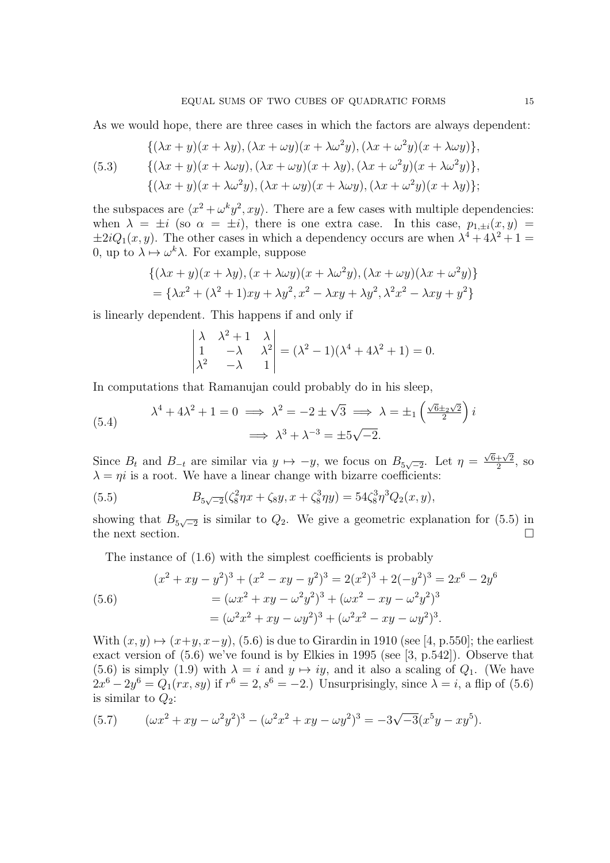As we would hope, there are three cases in which the factors are always dependent:

(5.3) 
$$
\{(\lambda x + y)(x + \lambda y), (\lambda x + \omega y)(x + \lambda \omega^2 y), (\lambda x + \omega^2 y)(x + \lambda \omega y)\},\
$$

$$
\{(\lambda x + y)(x + \lambda \omega y), (\lambda x + \omega y)(x + \lambda y), (\lambda x + \omega^2 y)(x + \lambda \omega^2 y)\},\
$$

$$
\{(\lambda x + y)(x + \lambda \omega^2 y), (\lambda x + \omega y)(x + \lambda \omega y), (\lambda x + \omega^2 y)(x + \lambda y)\};
$$

the subspaces are  $\langle x^2 + \omega^k y^2, xy \rangle$ . There are a few cases with multiple dependencies: when  $\lambda = \pm i$  (so  $\alpha = \pm i$ ), there is one extra case. In this case,  $p_{1+i}(x, y)$  $\pm 2iQ_1(x, y)$ . The other cases in which a dependency occurs are when  $\lambda^4 + 4\lambda^2 + 1 =$ 0, up to  $\lambda \mapsto \omega^k \lambda$ . For example, suppose

$$
\{(\lambda x + y)(x + \lambda y), (x + \lambda \omega y)(x + \lambda \omega^2 y), (\lambda x + \omega y)(\lambda x + \omega^2 y)\}\
$$

$$
= \{\lambda x^2 + (\lambda^2 + 1)xy + \lambda y^2, x^2 - \lambda xy + \lambda y^2, \lambda^2 x^2 - \lambda xy + y^2\}
$$

is linearly dependent. This happens if and only if

$$
\begin{vmatrix} \lambda & \lambda^2 + 1 & \lambda \\ 1 & -\lambda & \lambda^2 \\ \lambda^2 & -\lambda & 1 \end{vmatrix} = (\lambda^2 - 1)(\lambda^4 + 4\lambda^2 + 1) = 0.
$$

In computations that Ramanujan could probably do in his sleep,

(5.4) 
$$
\lambda^4 + 4\lambda^2 + 1 = 0 \implies \lambda^2 = -2 \pm \sqrt{3} \implies \lambda = \pm_1 \left(\frac{\sqrt{6} \pm_2 \sqrt{2}}{2}\right)i
$$

$$
\implies \lambda^3 + \lambda^{-3} = \pm 5\sqrt{-2}.
$$

Since  $B_t$  and  $B_{-t}$  are similar via  $y \mapsto -y$ , we focus on  $B_{5\sqrt{-2}}$ . Let  $\eta =$  $\sqrt{6}+\sqrt{2}$  $\frac{+\sqrt{2}}{2}$ , so  $\lambda = \eta i$  is a root. We have a linear change with bizarre coefficients:

(5.5) 
$$
B_{5\sqrt{-2}}(\zeta_8^2 \eta x + \zeta_8 y, x + \zeta_8^3 \eta y) = 54 \zeta_8^3 \eta^3 Q_2(x, y),
$$

showing that  $B_{5\sqrt{-2}}$  is similar to  $Q_2$ . We give a geometric explanation for (5.5) in the next section.  $\Box$ 

The instance of (1.6) with the simplest coefficients is probably

(5.6)  
\n
$$
(x^{2} + xy - y^{2})^{3} + (x^{2} - xy - y^{2})^{3} = 2(x^{2})^{3} + 2(-y^{2})^{3} = 2x^{6} - 2y^{6}
$$
\n
$$
= (\omega x^{2} + xy - \omega^{2}y^{2})^{3} + (\omega x^{2} - xy - \omega^{2}y^{2})^{3}
$$
\n
$$
= (\omega^{2}x^{2} + xy - \omega y^{2})^{3} + (\omega^{2}x^{2} - xy - \omega y^{2})^{3}.
$$

With  $(x, y) \mapsto (x+y, x-y)$ , (5.6) is due to Girardin in 1910 (see [4, p.550]; the earliest exact version of (5.6) we've found is by Elkies in 1995 (see [3, p.542]). Observe that (5.6) is simply (1.9) with  $\lambda = i$  and  $y \mapsto iy$ , and it also a scaling of  $Q_1$ . (We have  $2x^6 - 2y^6 = Q_1(rx, sy)$  if  $r^6 = 2, s^6 = -2$ .) Unsurprisingly, since  $\lambda = i$ , a flip of (5.6) is similar to  $Q_2$ :

(5.7) 
$$
(\omega x^2 + xy - \omega^2 y^2)^3 - (\omega^2 x^2 + xy - \omega y^2)^3 = -3\sqrt{-3}(x^5y - xy^5).
$$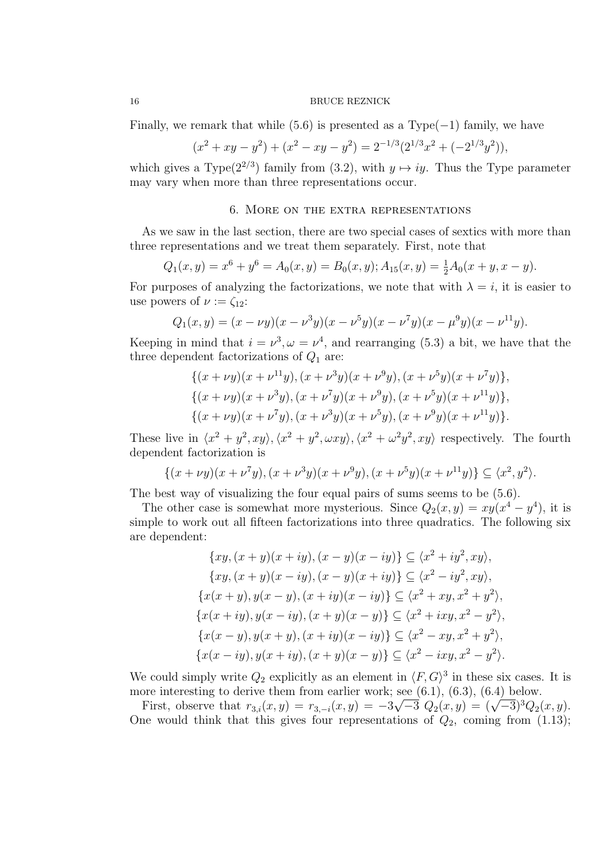Finally, we remark that while (5.6) is presented as a  $Type(-1)$  family, we have

$$
(x2 + xy - y2) + (x2 - xy - y2) = 2-1/3(21/3x2 + (-21/3y2)),
$$

which gives a Type( $2^{2/3}$ ) family from (3.2), with  $y \mapsto iy$ . Thus the Type parameter may vary when more than three representations occur.

# 6. More on the extra representations

As we saw in the last section, there are two special cases of sextics with more than three representations and we treat them separately. First, note that

$$
Q_1(x,y) = x^6 + y^6 = A_0(x,y) = B_0(x,y); A_{15}(x,y) = \frac{1}{2}A_0(x+y, x-y).
$$

For purposes of analyzing the factorizations, we note that with  $\lambda = i$ , it is easier to use powers of  $\nu := \zeta_{12}$ :

$$
Q_1(x,y) = (x - \nu y)(x - \nu^3 y)(x - \nu^5 y)(x - \nu^7 y)(x - \mu^9 y)(x - \nu^{11} y).
$$

Keeping in mind that  $i = \nu^3, \omega = \nu^4$ , and rearranging (5.3) a bit, we have that the three dependent factorizations of  $Q_1$  are:

$$
\{(x + \nu y)(x + \nu^{11}y), (x + \nu^{3}y)(x + \nu^{9}y), (x + \nu^{5}y)(x + \nu^{7}y)\},\
$$

$$
\{(x + \nu y)(x + \nu^{3}y), (x + \nu^{7}y)(x + \nu^{9}y), (x + \nu^{5}y)(x + \nu^{11}y)\},\
$$

$$
\{(x + \nu y)(x + \nu^{7}y), (x + \nu^{3}y)(x + \nu^{5}y), (x + \nu^{9}y)(x + \nu^{11}y)\}.
$$

These live in  $\langle x^2 + y^2, xy \rangle, \langle x^2 + y^2, \omega xy \rangle, \langle x^2 + \omega^2 y^2, xy \rangle$  respectively. The fourth dependent factorization is

$$
\{(x + \nu y)(x + \nu^7 y), (x + \nu^3 y)(x + \nu^9 y), (x + \nu^5 y)(x + \nu^{11} y)\} \subseteq \langle x^2, y^2 \rangle.
$$

The best way of visualizing the four equal pairs of sums seems to be (5.6).

The other case is somewhat more mysterious. Since  $Q_2(x, y) = xy(x^4 - y^4)$ , it is simple to work out all fifteen factorizations into three quadratics. The following six are dependent:

$$
\{xy, (x + y)(x + iy), (x - y)(x - iy)\} \subseteq \langle x^2 + iy^2, xy \rangle, \n\{xy, (x + y)(x - iy), (x - y)(x + iy)\} \subseteq \langle x^2 - iy^2, xy \rangle, \n\{x(x + y), y(x - y), (x + iy)(x - iy)\} \subseteq \langle x^2 + xy, x^2 + y^2 \rangle, \n\{x(x + iy), y(x - iy), (x + y)(x - y)\} \subseteq \langle x^2 + ixy, x^2 - y^2 \rangle, \n\{x(x - y), y(x + y), (x + iy)(x - iy)\} \subseteq \langle x^2 - xy, x^2 + y^2 \rangle, \n\{x(x - iy), y(x + iy), (x + y)(x - y)\} \subseteq \langle x^2 - ixy, x^2 - y^2 \rangle.
$$

We could simply write  $Q_2$  explicitly as an element in  $\langle F, G \rangle^3$  in these six cases. It is more interesting to derive them from earlier work; see  $(6.1)$ ,  $(6.3)$ ,  $(6.4)$  below.

First, observe that  $r_{3,i}(x, y) = r_{3,-i}(x, y) = -3\sqrt{-3} Q_2(x, y) = (\sqrt{-3})^3 Q_2(x, y)$ . One would think that this gives four representations of  $Q_2$ , coming from (1.13);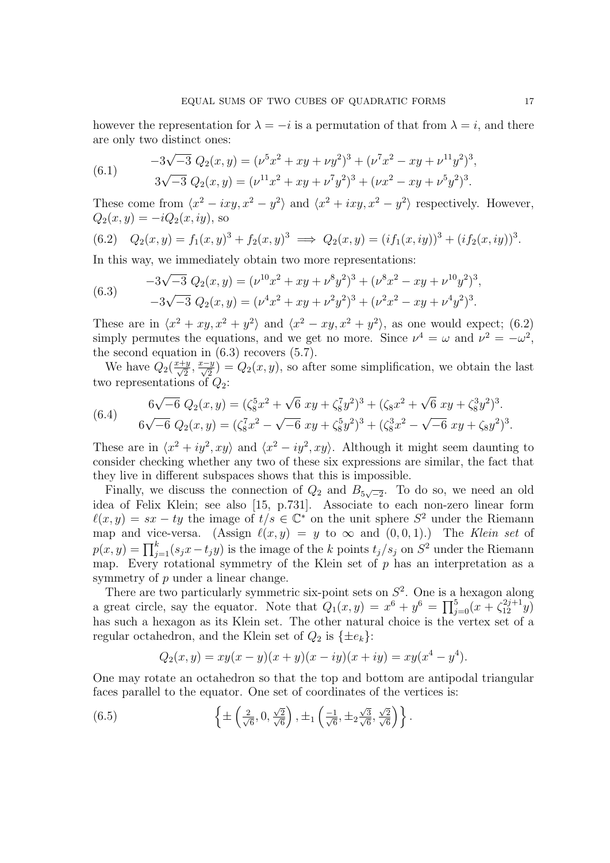however the representation for  $\lambda = -i$  is a permutation of that from  $\lambda = i$ , and there are only two distinct ones:

(6.1) 
$$
-3\sqrt{-3} Q_2(x,y) = (\nu^5 x^2 + xy + \nu y^2)^3 + (\nu^7 x^2 - xy + \nu^{11} y^2)^3,
$$

$$
3\sqrt{-3} Q_2(x,y) = (\nu^{11} x^2 + xy + \nu^7 y^2)^3 + (\nu x^2 - xy + \nu^5 y^2)^3.
$$

These come from  $\langle x^2 - ixy, x^2 - y^2 \rangle$  and  $\langle x^2 + ixy, x^2 - y^2 \rangle$  respectively. However,  $Q_2(x, y) = -iQ_2(x, iy)$ , so

(6.2) 
$$
Q_2(x, y) = f_1(x, y)^3 + f_2(x, y)^3 \implies Q_2(x, y) = (if_1(x, iy))^3 + (if_2(x, iy))^3.
$$

In this way, we immediately obtain two more representations:

(6.3) 
$$
-3\sqrt{-3} Q_2(x,y) = (\nu^{10}x^2 + xy + \nu^8 y^2)^3 + (\nu^8 x^2 - xy + \nu^{10} y^2)^3,
$$

$$
-3\sqrt{-3} Q_2(x,y) = (\nu^4 x^2 + xy + \nu^2 y^2)^3 + (\nu^2 x^2 - xy + \nu^4 y^2)^3.
$$

These are in  $\langle x^2 + xy, x^2 + y^2 \rangle$  and  $\langle x^2 - xy, x^2 + y^2 \rangle$ , as one would expect; (6.2) simply permutes the equations, and we get no more. Since  $\nu^4 = \omega$  and  $\nu^2 = -\omega^2$ , the second equation in  $(6.3)$  recovers  $(5.7)$ .

We have  $Q_2(\frac{x+y}{\sqrt{2}}, \frac{x-y}{\sqrt{2}}) = Q_2(x, y)$ , so after some simplification, we obtain the last two representations of  $Q_2$ :

(6.4) 
$$
6\sqrt{-6} Q_2(x,y) = (\zeta_8^5 x^2 + \sqrt{6} xy + \zeta_8^7 y^2)^3 + (\zeta_8 x^2 + \sqrt{6} xy + \zeta_8^3 y^2)^3.
$$

$$
6\sqrt{-6} Q_2(x,y) = (\zeta_8^7 x^2 - \sqrt{-6} xy + \zeta_8^5 y^2)^3 + (\zeta_8^3 x^2 - \sqrt{-6} xy + \zeta_8 y^2)^3.
$$

These are in  $\langle x^2 + iy^2, xy \rangle$  and  $\langle x^2 - iy^2, xy \rangle$ . Although it might seem daunting to consider checking whether any two of these six expressions are similar, the fact that they live in different subspaces shows that this is impossible.

Finally, we discuss the connection of  $Q_2$  and  $B_{5\sqrt{-2}}$ . To do so, we need an old idea of Felix Klein; see also [15, p.731]. Associate to each non-zero linear form  $\ell(x, y) = sx - ty$  the image of  $t/s \in \mathbb{C}^*$  on the unit sphere  $S^2$  under the Riemann map and vice-versa. (Assign  $\ell(x, y) = y$  to  $\infty$  and  $(0, 0, 1)$ .) The Klein set of  $p(x, y) = \prod_{j=1}^{k} (s_j x - t_j y)$  is the image of the k points  $t_j/s_j$  on  $S^2$  under the Riemann map. Every rotational symmetry of the Klein set of  $p$  has an interpretation as a symmetry of p under a linear change.

There are two particularly symmetric six-point sets on  $S<sup>2</sup>$ . One is a hexagon along a great circle, say the equator. Note that  $Q_1(x,y) = x^6 + y^6 = \prod_{j=0}^5 (x + \zeta_{12}^{2j+1}y)$ has such a hexagon as its Klein set. The other natural choice is the vertex set of a regular octahedron, and the Klein set of  $Q_2$  is  $\{\pm e_k\}$ :

$$
Q_2(x, y) = xy(x - y)(x + y)(x - iy)(x + iy) = xy(x4 - y4).
$$

One may rotate an octahedron so that the top and bottom are antipodal triangular faces parallel to the equator. One set of coordinates of the vertices is:

(6.5) 
$$
\left\{ \pm \left( \frac{2}{\sqrt{6}}, 0, \frac{\sqrt{2}}{\sqrt{6}} \right), \pm_1 \left( \frac{-1}{\sqrt{6}}, \pm_2 \frac{\sqrt{3}}{\sqrt{6}}, \frac{\sqrt{2}}{\sqrt{6}} \right) \right\}.
$$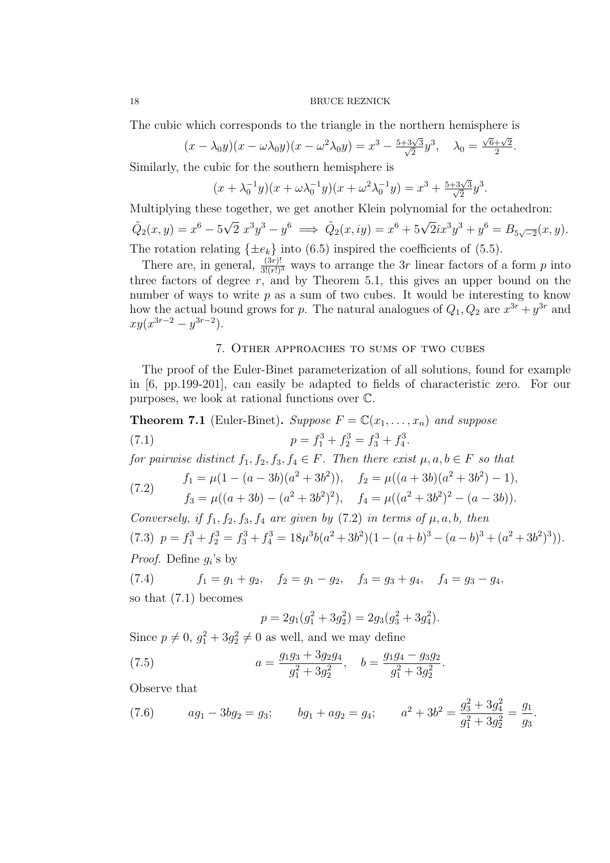The cubic which corresponds to the triangle in the northern hemisphere is

$$
(x - \lambda_0 y)(x - \omega \lambda_0 y)(x - \omega^2 \lambda_0 y) = x^3 - \frac{5 + 3\sqrt{3}}{\sqrt{2}}y^3, \quad \lambda_0 = \frac{\sqrt{6} + \sqrt{2}}{2}.
$$

Similarly, the cubic for the southern hemisphere is

$$
(x + \lambda_0^{-1}y)(x + \omega \lambda_0^{-1}y)(x + \omega^2 \lambda_0^{-1}y) = x^3 + \frac{5+3\sqrt{3}}{\sqrt{2}}y^3.
$$

Multiplying these together, we get another Klein polynomial for the octahedron:  $\tilde{Q}_2(x,y) = x^6 - 5$ √  $2x^3y^3 - y^6 \implies \tilde{Q}_2(x,iy) = x^6 + 5\sqrt{2}ix^3y^3 + y^6 = B_{5\sqrt{-2}}(x,y).$ The rotation relating  $\{\pm e_k\}$  into (6.5) inspired the coefficients of (5.5).

There are, in general,  $\frac{(3r)!}{3!(r!)^3}$  ways to arrange the 3r linear factors of a form p into three factors of degree  $r$ , and by Theorem 5.1, this gives an upper bound on the number of ways to write  $p$  as a sum of two cubes. It would be interesting to know how the actual bound grows for p. The natural analogues of  $Q_1, Q_2$  are  $x^{3r} + y^{3r}$  and  $xy(x^{3r-2} - y^{3r-2}).$ 

# 7. Other approaches to sums of two cubes

The proof of the Euler-Binet parameterization of all solutions, found for example in [6, pp.199-201], can easily be adapted to fields of characteristic zero. For our purposes, we look at rational functions over C.

**Theorem 7.1** (Euler-Binet). Suppose  $F = \mathbb{C}(x_1, \ldots, x_n)$  and suppose (7.1)  $p = f_1^3 + f_2^3 = f_3^3 + f_4^3.$ 

for pairwise distinct  $f_1, f_2, f_3, f_4 \in F$ . Then there exist  $\mu, a, b \in F$  so that

(7.2) 
$$
f_1 = \mu(1 - (a - 3b)(a^2 + 3b^2)), \quad f_2 = \mu((a + 3b)(a^2 + 3b^2) - 1),
$$

$$
(1.2) \t f_3 = \mu((a+3b) - (a^2+3b^2)^2), \t f_4 = \mu((a^2+3b^2)^2 - (a-3b)).
$$

Conversely, if  $f_1, f_2, f_3, f_4$  are given by (7.2) in terms of  $\mu, a, b$ , then  $(7.3)$   $p = f_1^3 + f_2^3 = f_3^3 + f_4^3 = 18\mu^3b(a^2 + 3b^2)(1 - (a+b)^3 - (a-b)^3 + (a^2 + 3b^2)^3)).$ *Proof.* Define  $g_i$ 's by

(7.4)  $f_1 = g_1 + g_2$ ,  $f_2 = g_1 - g_2$ ,  $f_3 = g_3 + g_4$ ,  $f_4 = g_3 - g_4$ , so that (7.1) becomes

$$
p = 2g_1(g_1^2 + 3g_2^2) = 2g_3(g_3^2 + 3g_4^2).
$$

Since  $p \neq 0$ ,  $g_1^2 + 3g_2^2 \neq 0$  as well, and we may define

(7.5) 
$$
a = \frac{g_1 g_3 + 3g_2 g_4}{g_1^2 + 3g_2^2}, \quad b = \frac{g_1 g_4 - g_3 g_2}{g_1^2 + 3g_2^2}.
$$

Observe that

(7.6) 
$$
ag_1 - 3bg_2 = g_3; \qquad bg_1 + ag_2 = g_4; \qquad a^2 + 3b^2 = \frac{g_3^2 + 3g_4^2}{g_1^2 + 3g_2^2} = \frac{g_1}{g_3}.
$$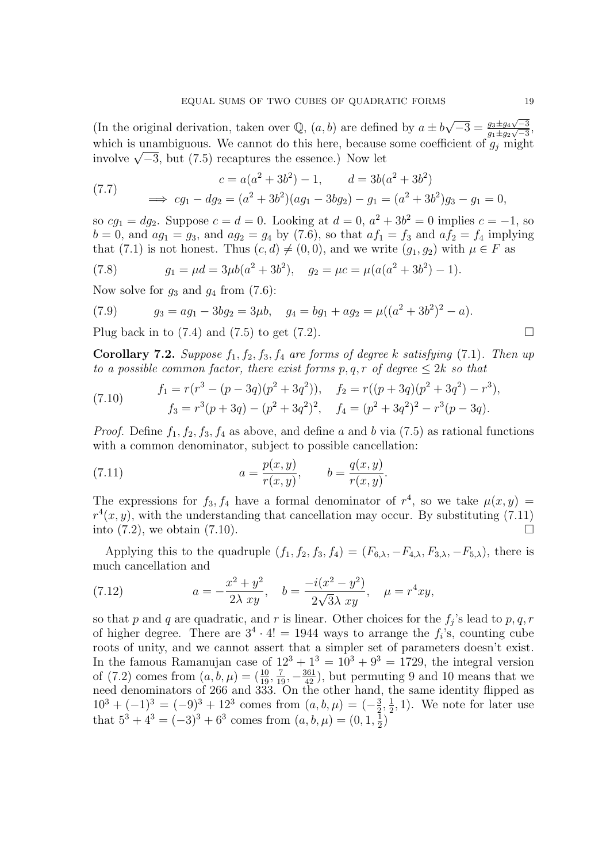(In the original derivation, taken over Q,  $(a, b)$  are defined by  $a \pm b\sqrt{-3} = \frac{g_3 \pm g_4\sqrt{-3}}{g_1 + g_2\sqrt{-3}}$  $\frac{g_3 \pm g_4 \sqrt{-3}}{g_1 \pm g_2 \sqrt{-3}},$ which is unambiguous. We cannot do this here, because some coefficient of  $g_i$  might which is unambiguous. We cannot do this here, because<br>involve  $\sqrt{-3}$ , but (7.5) recaptures the essence.) Now let

(7.7) 
$$
c = a(a^2 + 3b^2) - 1, \qquad d = 3b(a^2 + 3b^2)
$$

$$
\implies cg_1 - dg_2 = (a^2 + 3b^2)(ag_1 - 3bg_2) - g_1 = (a^2 + 3b^2)g_3 - g_1 = 0,
$$

so  $cg_1 = dg_2$ . Suppose  $c = d = 0$ . Looking at  $d = 0$ ,  $a^2 + 3b^2 = 0$  implies  $c = -1$ , so  $b = 0$ , and  $ag_1 = g_3$ , and  $ag_2 = g_4$  by (7.6), so that  $af_1 = f_3$  and  $af_2 = f_4$  implying that (7.1) is not honest. Thus  $(c, d) \neq (0, 0)$ , and we write  $(g_1, g_2)$  with  $\mu \in F$  as

(7.8) 
$$
g_1 = \mu d = 3\mu b(a^2 + 3b^2), \quad g_2 = \mu c = \mu (a(a^2 + 3b^2) - 1).
$$

Now solve for  $g_3$  and  $g_4$  from  $(7.6)$ :

(7.9) 
$$
g_3 = ag_1 - 3bg_2 = 3\mu b
$$
,  $g_4 = bg_1 + ag_2 = \mu((a^2 + 3b^2)^2 - a)$ .  
Plug back in to (7.4) and (7.5) to get (7.2).

**Corollary 7.2.** Suppose  $f_1, f_2, f_3, f_4$  are forms of degree k satisfying (7.1). Then up to a possible common factor, there exist forms  $p, q, r$  of degree  $\leq 2k$  so that

(7.10) 
$$
f_1 = r(r^3 - (p - 3q)(p^2 + 3q^2)), \quad f_2 = r((p + 3q)(p^2 + 3q^2) - r^3),
$$

$$
f_3 = r^3(p + 3q) - (p^2 + 3q^2)^2, \quad f_4 = (p^2 + 3q^2)^2 - r^3(p - 3q).
$$

*Proof.* Define  $f_1, f_2, f_3, f_4$  as above, and define a and b via (7.5) as rational functions with a common denominator, subject to possible cancellation:

(7.11) 
$$
a = \frac{p(x, y)}{r(x, y)}, \qquad b = \frac{q(x, y)}{r(x, y)}.
$$

The expressions for  $f_3, f_4$  have a formal denominator of  $r^4$ , so we take  $\mu(x, y)$  $r^4(x, y)$ , with the understanding that cancellation may occur. By substituting (7.11) into  $(7.2)$ , we obtain  $(7.10)$ .

Applying this to the quadruple  $(f_1, f_2, f_3, f_4) = (F_{6,\lambda}, -F_{4,\lambda}, F_{3,\lambda}, -F_{5,\lambda})$ , there is much cancellation and

(7.12) 
$$
a = -\frac{x^2 + y^2}{2\lambda xy}, \quad b = \frac{-i(x^2 - y^2)}{2\sqrt{3}\lambda xy}, \quad \mu = r^4 xy,
$$

so that p and q are quadratic, and r is linear. Other choices for the  $f_j$ 's lead to p, q, r of higher degree. There are  $3^4 \cdot 4! = 1944$  ways to arrange the  $f_i$ 's, counting cube roots of unity, and we cannot assert that a simpler set of parameters doesn't exist. In the famous Ramanujan case of  $12^3 + 1^3 = 10^3 + 9^3 = 1729$ , the integral version of (7.2) comes from  $(a, b, \mu) = (\frac{10}{19}, \frac{7}{19}, -\frac{361}{42})$ , but permuting 9 and 10 means that we need denominators of 266 and 333. On the other hand, the same identity flipped as  $10^3 + (-1)^3 = (-9)^3 + 12^3$  comes from  $(a, b, \mu) = (-\frac{3}{2})$  $\frac{3}{2}, \frac{1}{2}$  $(\frac{1}{2}, 1)$ . We note for later use that  $5^3 + 4^3 = (-3)^3 + 6^3$  comes from  $(a, b, \mu) = (0, 1, \frac{1}{2})$  $\frac{1}{2}$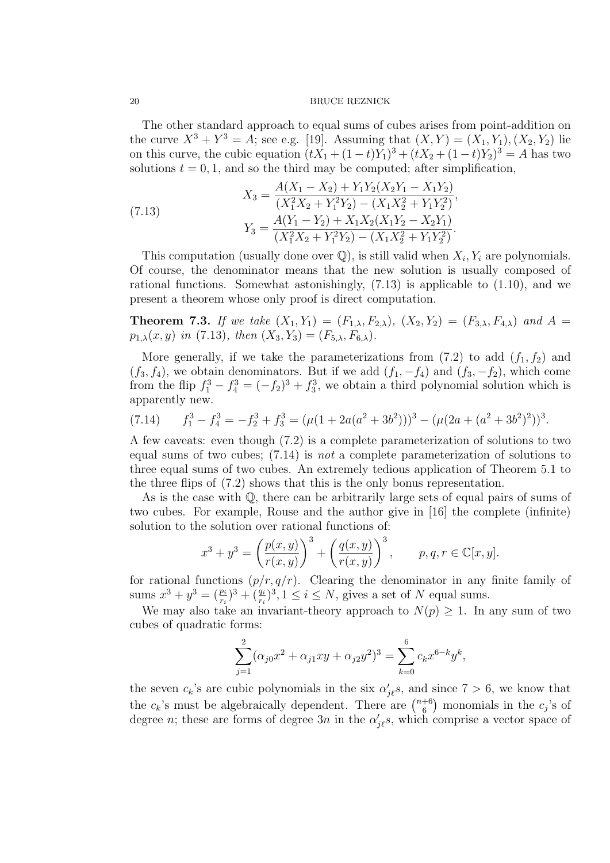The other standard approach to equal sums of cubes arises from point-addition on the curve  $X^3 + Y^3 = A$ ; see e.g. [19]. Assuming that  $(X, Y) = (X_1, Y_1), (X_2, Y_2)$  lie on this curve, the cubic equation  $(tX_1 + (1-t)Y_1)^3 + (tX_2 + (1-t)Y_2)^3 = A$  has two solutions  $t = 0, 1$ , and so the third may be computed; after simplification,

(7.13)  
\n
$$
X_3 = \frac{A(X_1 - X_2) + Y_1 Y_2 (X_2 Y_1 - X_1 Y_2)}{(X_1^2 X_2 + Y_1^2 Y_2) - (X_1 X_2^2 + Y_1 Y_2^2)},
$$
\n
$$
Y_3 = \frac{A(Y_1 - Y_2) + X_1 X_2 (X_1 Y_2 - X_2 Y_1)}{(X_1^2 X_2 + Y_1^2 Y_2) - (X_1 X_2^2 + Y_1 Y_2^2)}.
$$

This computation (usually done over  $\mathbb{Q}$ ), is still valid when  $X_i, Y_i$  are polynomials. Of course, the denominator means that the new solution is usually composed of rational functions. Somewhat astonishingly,  $(7.13)$  is applicable to  $(1.10)$ , and we present a theorem whose only proof is direct computation.

**Theorem 7.3.** If we take  $(X_1, Y_1) = (F_{1,\lambda}, F_{2,\lambda}), (X_2, Y_2) = (F_{3,\lambda}, F_{4,\lambda})$  and  $A =$  $p_{1,\lambda}(x, y)$  in (7.13), then  $(X_3, Y_3) = (F_{5,\lambda}, F_{6,\lambda})$ .

More generally, if we take the parameterizations from  $(7.2)$  to add  $(f_1, f_2)$  and  $(f_3, f_4)$ , we obtain denominators. But if we add  $(f_1, -f_4)$  and  $(f_3, -f_2)$ , which come from the flip  $f_1^3 - f_4^3 = (-f_2)^3 + f_3^3$ , we obtain a third polynomial solution which is apparently new.

$$
(7.14) \t f13 - f43 = -f23 + f33 = (\mu(1 + 2a(a2 + 3b2)))3 - (\mu(2a + (a2 + 3b2)2))3.
$$

A few caveats: even though (7.2) is a complete parameterization of solutions to two equal sums of two cubes; (7.14) is not a complete parameterization of solutions to three equal sums of two cubes. An extremely tedious application of Theorem 5.1 to the three flips of (7.2) shows that this is the only bonus representation.

As is the case with Q, there can be arbitrarily large sets of equal pairs of sums of two cubes. For example, Rouse and the author give in [16] the complete (infinite) solution to the solution over rational functions of:

$$
x^{3} + y^{3} = \left(\frac{p(x, y)}{r(x, y)}\right)^{3} + \left(\frac{q(x, y)}{r(x, y)}\right)^{3}, \quad p, q, r \in \mathbb{C}[x, y].
$$

for rational functions  $(p/r, q/r)$ . Clearing the denominator in any finite family of sums  $x^3 + y^3 = (\frac{p_i}{r_i})^3 + (\frac{q_i}{r_i})^3$ ,  $1 \le i \le N$ , gives a set of N equal sums.

We may also take an invariant-theory approach to  $N(p) \geq 1$ . In any sum of two cubes of quadratic forms:

$$
\sum_{j=1}^{2} (\alpha_{j0} x^2 + \alpha_{j1} xy + \alpha_{j2} y^2)^3 = \sum_{k=0}^{6} c_k x^{6-k} y^k,
$$

the seven  $c_k$ 's are cubic polynomials in the six  $\alpha'_{j\ell}$ s, and since  $7 > 6$ , we know that the  $c_k$ 's must be algebraically dependent. There are  $\binom{n+6}{6}$  $_{6}^{+6}$ ) monomials in the  $c_j$ 's of degree *n*; these are forms of degree  $3n$  in the  $\alpha'_{j\ell}s$ , which comprise a vector space of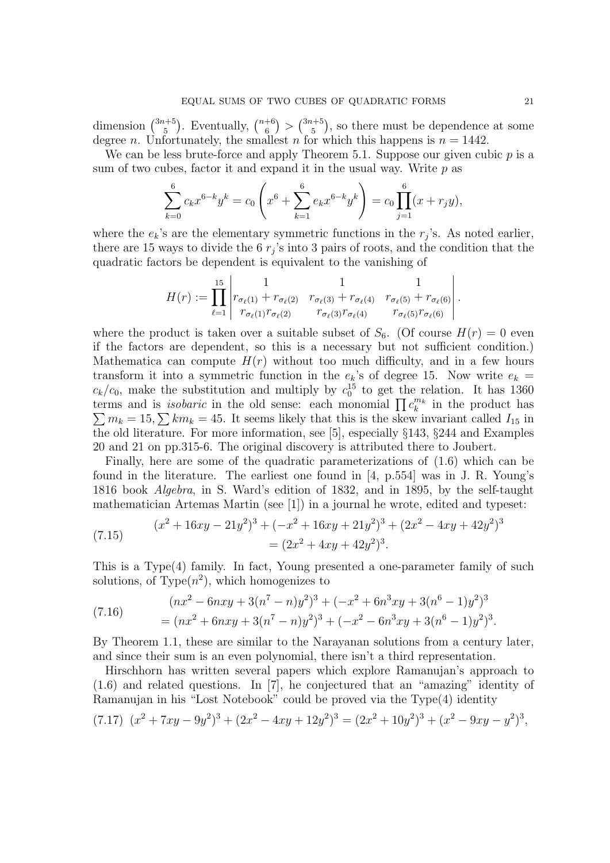dimension  $\binom{3n+5}{5}$  $\binom{n+5}{5}$ . Eventually,  $\binom{n+6}{6}$  $\binom{+6}{6} > \binom{3n+5}{5}$  $_{5}^{1+5}$ ), so there must be dependence at some degree *n*. Unfortunately, the smallest *n* for which this happens is  $n = 1442$ .

We can be less brute-force and apply Theorem 5.1. Suppose our given cubic  $p$  is a sum of two cubes, factor it and expand it in the usual way. Write  $p$  as

$$
\sum_{k=0}^{6} c_k x^{6-k} y^k = c_0 \left( x^6 + \sum_{k=1}^{6} e_k x^{6-k} y^k \right) = c_0 \prod_{j=1}^{6} (x + r_j y),
$$

where the  $e_k$ 's are the elementary symmetric functions in the  $r_j$ 's. As noted earlier, there are 15 ways to divide the 6  $r_j$ 's into 3 pairs of roots, and the condition that the quadratic factors be dependent is equivalent to the vanishing of

$$
H(r) := \prod_{\ell=1}^{15} \begin{vmatrix} 1 & 1 & 1 \\ r_{\sigma_{\ell}(1)} + r_{\sigma_{\ell}(2)} & r_{\sigma_{\ell}(3)} + r_{\sigma_{\ell}(4)} & r_{\sigma_{\ell}(5)} + r_{\sigma_{\ell}(6)} \\ r_{\sigma_{\ell}(1)}r_{\sigma_{\ell}(2)} & r_{\sigma_{\ell}(3)}r_{\sigma_{\ell}(4)} & r_{\sigma_{\ell}(5)}r_{\sigma_{\ell}(6)} \end{vmatrix}.
$$

where the product is taken over a suitable subset of  $S_6$ . (Of course  $H(r) = 0$  even if the factors are dependent, so this is a necessary but not sufficient condition.) Mathematica can compute  $H(r)$  without too much difficulty, and in a few hours transform it into a symmetric function in the  $e_k$ 's of degree 15. Now write  $e_k =$  $c_k/c_0$ , make the substitution and multiply by  $c_0^{15}$  to get the relation. It has 1360 terms and is *isobaric* in the old sense: each monomial  $\prod c_k^{m_k}$  in the product has  $\sum m_k = 15, \sum km_k = 45$ . It seems likely that this is the skew invariant called  $I_{15}$  in the old literature. For more information, see [5], especially §143, §244 and Examples 20 and 21 on pp.315-6. The original discovery is attributed there to Joubert.

Finally, here are some of the quadratic parameterizations of (1.6) which can be found in the literature. The earliest one found in [4, p.554] was in J. R. Young's 1816 book Algebra, in S. Ward's edition of 1832, and in 1895, by the self-taught mathematician Artemas Martin (see [1]) in a journal he wrote, edited and typeset:

(7.15) 
$$
(x^2 + 16xy - 21y^2)^3 + (-x^2 + 16xy + 21y^2)^3 + (2x^2 - 4xy + 42y^2)^3
$$

$$
= (2x^2 + 4xy + 42y^2)^3.
$$

This is a Type(4) family. In fact, Young presented a one-parameter family of such solutions, of Type $(n^2)$ , which homogenizes to

(7.16) 
$$
(nx^{2} - 6nxy + 3(n^{7} - n)y^{2})^{3} + (-x^{2} + 6n^{3}xy + 3(n^{6} - 1)y^{2})^{3}
$$

$$
= (nx^{2} + 6nxy + 3(n^{7} - n)y^{2})^{3} + (-x^{2} - 6n^{3}xy + 3(n^{6} - 1)y^{2})^{3}.
$$

By Theorem 1.1, these are similar to the Narayanan solutions from a century later, and since their sum is an even polynomial, there isn't a third representation.

Hirschhorn has written several papers which explore Ramanujan's approach to (1.6) and related questions. In [7], he conjectured that an "amazing" identity of Ramanujan in his "Lost Notebook" could be proved via the Type(4) identity

$$
(7.17) \ (x^2 + 7xy - 9y^2)^3 + (2x^2 - 4xy + 12y^2)^3 = (2x^2 + 10y^2)^3 + (x^2 - 9xy - y^2)^3,
$$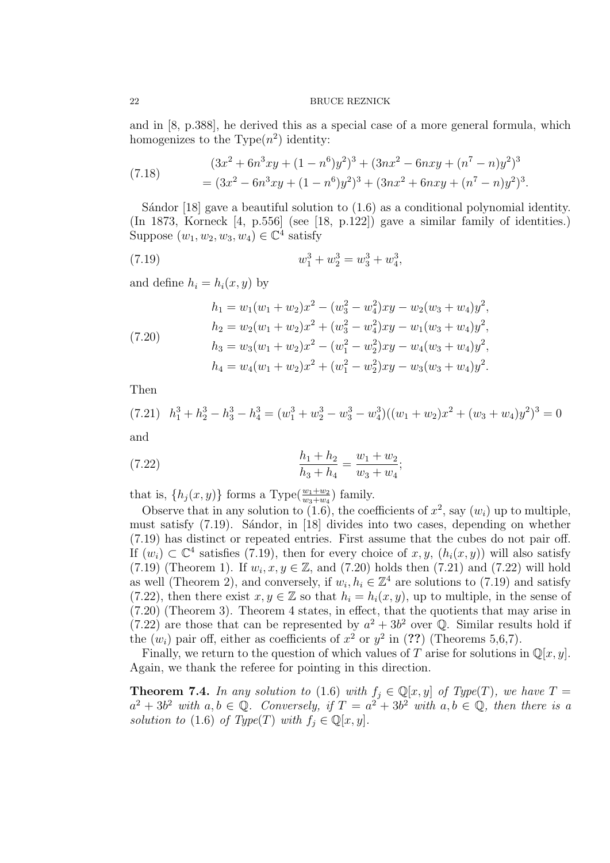and in [8, p.388], he derived this as a special case of a more general formula, which homogenizes to the Type $(n^2)$  identity:

(7.18) 
$$
(3x^2 + 6n^3xy + (1 - n^6)y^2)^3 + (3nx^2 - 6nxy + (n^7 - n)y^2)^3
$$

$$
= (3x^2 - 6n^3xy + (1 - n^6)y^2)^3 + (3nx^2 + 6nxy + (n^7 - n)y^2)^3.
$$

Sándor  $[18]$  gave a beautiful solution to  $(1.6)$  as a conditional polynomial identity. (In 1873, Korneck [4, p.556] (see [18, p.122]) gave a similar family of identities.) Suppose  $(w_1, w_2, w_3, w_4) \in \mathbb{C}^4$  satisfy

(7.19) 
$$
w_1^3 + w_2^3 = w_3^3 + w_4^3,
$$

and define  $h_i = h_i(x, y)$  by

(7.20)  
\n
$$
h_1 = w_1(w_1 + w_2)x^2 - (w_3^2 - w_4^2)xy - w_2(w_3 + w_4)y^2,
$$
\n
$$
h_2 = w_2(w_1 + w_2)x^2 + (w_3^2 - w_4^2)xy - w_1(w_3 + w_4)y^2,
$$
\n
$$
h_3 = w_3(w_1 + w_2)x^2 - (w_1^2 - w_2^2)xy - w_4(w_3 + w_4)y^2,
$$
\n
$$
h_4 = w_4(w_1 + w_2)x^2 + (w_1^2 - w_2^2)xy - w_3(w_3 + w_4)y^2.
$$

Then

$$
(7.21) \quad h_1^3 + h_2^3 - h_3^3 - h_4^3 = (w_1^3 + w_2^3 - w_3^3 - w_4^3)((w_1 + w_2)x^2 + (w_3 + w_4)y^2)^3 = 0
$$

and

(7.22) 
$$
\frac{h_1 + h_2}{h_3 + h_4} = \frac{w_1 + w_2}{w_3 + w_4};
$$

that is,  $\{h_j(x, y)\}\)$  forms a Type $(\frac{w_1+w_2}{w_3+w_4})$  family.

Observe that in any solution to  $(1.6)$ , the coefficients of  $x^2$ , say  $(w_i)$  up to multiple, must satisfy  $(7.19)$ . Sándor, in [18] divides into two cases, depending on whether (7.19) has distinct or repeated entries. First assume that the cubes do not pair off. If  $(w_i) \subset \mathbb{C}^4$  satisfies (7.19), then for every choice of x, y,  $(h_i(x, y))$  will also satisfy  $(7.19)$  (Theorem 1). If  $w_i, x, y \in \mathbb{Z}$ , and  $(7.20)$  holds then  $(7.21)$  and  $(7.22)$  will hold as well (Theorem 2), and conversely, if  $w_i, h_i \in \mathbb{Z}^4$  are solutions to (7.19) and satisfy (7.22), then there exist  $x, y \in \mathbb{Z}$  so that  $h_i = h_i(x, y)$ , up to multiple, in the sense of (7.20) (Theorem 3). Theorem 4 states, in effect, that the quotients that may arise in  $(7.22)$  are those that can be represented by  $a^2 + 3b^2$  over Q. Similar results hold if the  $(w_i)$  pair off, either as coefficients of  $x^2$  or  $y^2$  in (??) (Theorems 5,6,7).

Finally, we return to the question of which values of T arise for solutions in  $\mathbb{Q}[x, y]$ . Again, we thank the referee for pointing in this direction.

**Theorem 7.4.** In any solution to (1.6) with  $f_j \in \mathbb{Q}[x, y]$  of Type(T), we have  $T =$  $a^2 + 3b^2$  with  $a, b \in \mathbb{Q}$ . Conversely, if  $T = a^2 + 3b^2$  with  $a, b \in \mathbb{Q}$ , then there is a solution to (1.6) of Type(T) with  $f_i \in \mathbb{Q}[x, y]$ .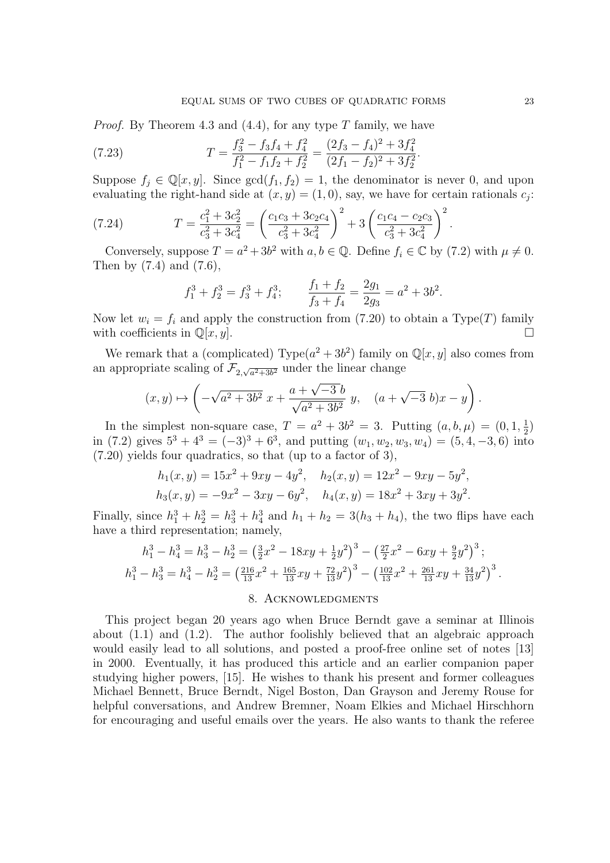*Proof.* By Theorem 4.3 and  $(4.4)$ , for any type T family, we have

(7.23) 
$$
T = \frac{f_3^2 - f_3 f_4 + f_4^2}{f_1^2 - f_1 f_2 + f_2^2} = \frac{(2f_3 - f_4)^2 + 3f_4^2}{(2f_1 - f_2)^2 + 3f_2^2}
$$

Suppose  $f_j \in \mathbb{Q}[x, y]$ . Since  $gcd(f_1, f_2) = 1$ , the denominator is never 0, and upon evaluating the right-hand side at  $(x, y) = (1, 0)$ , say, we have for certain rationals  $c_j$ :

.

(7.24) 
$$
T = \frac{c_1^2 + 3c_2^2}{c_3^2 + 3c_4^2} = \left(\frac{c_1c_3 + 3c_2c_4}{c_3^2 + 3c_4^2}\right)^2 + 3\left(\frac{c_1c_4 - c_2c_3}{c_3^2 + 3c_4^2}\right)^2.
$$

Conversely, suppose  $T = a^2 + 3b^2$  with  $a, b \in \mathbb{Q}$ . Define  $f_i \in \mathbb{C}$  by (7.2) with  $\mu \neq 0$ . Then by (7.4) and (7.6),

$$
f_1^3 + f_2^3 = f_3^3 + f_4^3;
$$
 
$$
\frac{f_1 + f_2}{f_3 + f_4} = \frac{2g_1}{2g_3} = a^2 + 3b^2.
$$

Now let  $w_i = f_i$  and apply the construction from (7.20) to obtain a Type(T) family with coefficients in  $\mathbb{Q}[x, y]$ .

We remark that a (complicated) Type $(a^2+3b^2)$  family on  $\mathbb{Q}[x, y]$  also comes from an appropriate scaling of  $\mathcal{F}_{2,\sqrt{a^2+3b^2}}$  under the linear change

$$
(x, y) \mapsto \left(-\sqrt{a^2 + 3b^2} x + \frac{a + \sqrt{-3}b}{\sqrt{a^2 + 3b^2}} y, \quad (a + \sqrt{-3} b)x - y\right).
$$

In the simplest non-square case,  $T = a^2 + 3b^2 = 3$ . Putting  $(a, b, \mu) = (0, 1, \frac{1}{2})$  $\frac{1}{2})$ in (7.2) gives  $5^3 + 4^3 = (-3)^3 + 6^3$ , and putting  $(w_1, w_2, w_3, w_4) = (5, 4, -3, 6)$  into (7.20) yields four quadratics, so that (up to a factor of 3),

$$
h_1(x, y) = 15x^2 + 9xy - 4y^2, \quad h_2(x, y) = 12x^2 - 9xy - 5y^2,
$$
  

$$
h_3(x, y) = -9x^2 - 3xy - 6y^2, \quad h_4(x, y) = 18x^2 + 3xy + 3y^2.
$$

Finally, since  $h_1^3 + h_2^3 = h_3^3 + h_4^3$  and  $h_1 + h_2 = 3(h_3 + h_4)$ , the two flips have each have a third representation; namely,

$$
h_1^3 - h_4^3 = h_3^3 - h_2^3 = \left(\frac{3}{2}x^2 - 18xy + \frac{1}{2}y^2\right)^3 - \left(\frac{27}{2}x^2 - 6xy + \frac{9}{2}y^2\right)^3;
$$
  
\n
$$
h_1^3 - h_3^3 = h_4^3 - h_2^3 = \left(\frac{216}{13}x^2 + \frac{165}{13}xy + \frac{72}{13}y^2\right)^3 - \left(\frac{102}{13}x^2 + \frac{261}{13}xy + \frac{34}{13}y^2\right)^3.
$$

# 8. Acknowledgments

This project began 20 years ago when Bruce Berndt gave a seminar at Illinois about  $(1.1)$  and  $(1.2)$ . The author foolishly believed that an algebraic approach would easily lead to all solutions, and posted a proof-free online set of notes [13] in 2000. Eventually, it has produced this article and an earlier companion paper studying higher powers, [15]. He wishes to thank his present and former colleagues Michael Bennett, Bruce Berndt, Nigel Boston, Dan Grayson and Jeremy Rouse for helpful conversations, and Andrew Bremner, Noam Elkies and Michael Hirschhorn for encouraging and useful emails over the years. He also wants to thank the referee